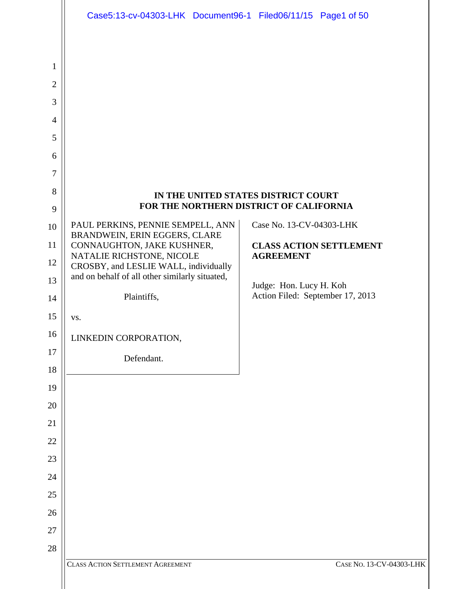|                | Case5:13-cv-04303-LHK Document96-1 Filed06/11/15 Page1 of 50       |                                                    |
|----------------|--------------------------------------------------------------------|----------------------------------------------------|
|                |                                                                    |                                                    |
| 1              |                                                                    |                                                    |
| $\overline{2}$ |                                                                    |                                                    |
| 3              |                                                                    |                                                    |
| $\overline{4}$ |                                                                    |                                                    |
| 5              |                                                                    |                                                    |
| 6              |                                                                    |                                                    |
| 7              |                                                                    |                                                    |
| 8              |                                                                    | IN THE UNITED STATES DISTRICT COURT                |
| 9              |                                                                    | FOR THE NORTHERN DISTRICT OF CALIFORNIA            |
| 10             | PAUL PERKINS, PENNIE SEMPELL, ANN<br>BRANDWEIN, ERIN EGGERS, CLARE | Case No. 13-CV-04303-LHK                           |
| 11             | CONNAUGHTON, JAKE KUSHNER,<br>NATALIE RICHSTONE, NICOLE            | <b>CLASS ACTION SETTLEMENT</b><br><b>AGREEMENT</b> |
| 12             | CROSBY, and LESLIE WALL, individually                              |                                                    |
| 13             | and on behalf of all other similarly situated,                     | Judge: Hon. Lucy H. Koh                            |
| 14             | Plaintiffs,                                                        | Action Filed: September 17, 2013                   |
| 15             | VS.                                                                |                                                    |
| 16             | LINKEDIN CORPORATION,                                              |                                                    |
| 17             | Defendant.                                                         |                                                    |
| 18             |                                                                    |                                                    |
| 19             |                                                                    |                                                    |
| 20             |                                                                    |                                                    |
| 21             |                                                                    |                                                    |
| 22<br>23       |                                                                    |                                                    |
| 24             |                                                                    |                                                    |
| 25             |                                                                    |                                                    |
| 26             |                                                                    |                                                    |
| 27             |                                                                    |                                                    |
| 28             |                                                                    |                                                    |
|                | <b>CLASS ACTION SETTLEMENT AGREEMENT</b>                           | CASE NO. 13-CV-04303-LHK                           |
|                |                                                                    |                                                    |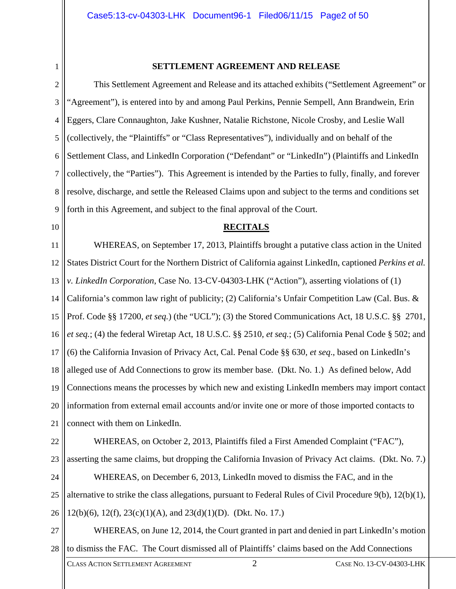1

#### **SETTLEMENT AGREEMENT AND RELEASE**

2 3 4 5 6 7 8 9 This Settlement Agreement and Release and its attached exhibits ("Settlement Agreement" or "Agreement"), is entered into by and among Paul Perkins, Pennie Sempell, Ann Brandwein, Erin Eggers, Clare Connaughton, Jake Kushner, Natalie Richstone, Nicole Crosby, and Leslie Wall (collectively, the "Plaintiffs" or "Class Representatives"), individually and on behalf of the Settlement Class, and LinkedIn Corporation ("Defendant" or "LinkedIn") (Plaintiffs and LinkedIn collectively, the "Parties"). This Agreement is intended by the Parties to fully, finally, and forever resolve, discharge, and settle the Released Claims upon and subject to the terms and conditions set forth in this Agreement, and subject to the final approval of the Court.

10

#### **RECITALS**

11 12 13 14 15 16 17 18 19 20 21 WHEREAS, on September 17, 2013, Plaintiffs brought a putative class action in the United States District Court for the Northern District of California against LinkedIn, captioned *Perkins et al. v. LinkedIn Corporation*, Case No. 13-CV-04303-LHK ("Action"), asserting violations of (1) California's common law right of publicity; (2) California's Unfair Competition Law (Cal. Bus. & Prof. Code §§ 17200, *et seq.*) (the "UCL"); (3) the Stored Communications Act, 18 U.S.C. §§ 2701, *et seq.*; (4) the federal Wiretap Act, 18 U.S.C. §§ 2510, *et seq.*; (5) California Penal Code § 502; and (6) the California Invasion of Privacy Act, Cal. Penal Code §§ 630, *et seq*., based on LinkedIn's alleged use of Add Connections to grow its member base. (Dkt. No. 1.) As defined below, Add Connections means the processes by which new and existing LinkedIn members may import contact information from external email accounts and/or invite one or more of those imported contacts to connect with them on LinkedIn.

22

23 24 WHEREAS, on October 2, 2013, Plaintiffs filed a First Amended Complaint ("FAC"), asserting the same claims, but dropping the California Invasion of Privacy Act claims. (Dkt. No. 7.) WHEREAS, on December 6, 2013, LinkedIn moved to dismiss the FAC, and in the

25 alternative to strike the class allegations, pursuant to Federal Rules of Civil Procedure 9(b), 12(b)(1),

26 12(b)(6), 12(f), 23(c)(1)(A), and 23(d)(1)(D). (Dkt. No. 17.)

27 28 WHEREAS, on June 12, 2014, the Court granted in part and denied in part LinkedIn's motion to dismiss the FAC. The Court dismissed all of Plaintiffs' claims based on the Add Connections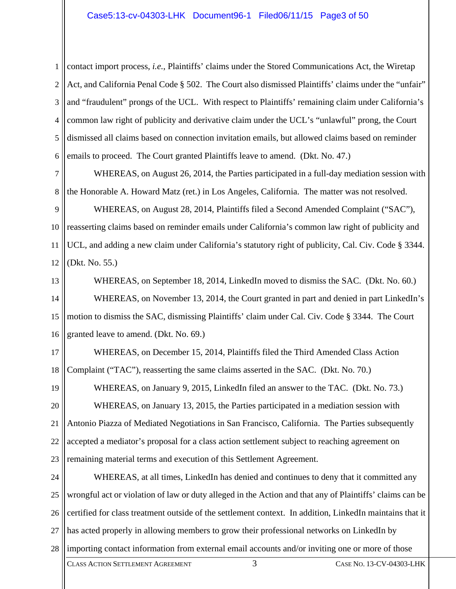#### Case5:13-cv-04303-LHK Document96-1 Filed06/11/15 Page3 of 50

1 2 3 4 5 6 contact import process, *i.e.*, Plaintiffs' claims under the Stored Communications Act, the Wiretap Act, and California Penal Code § 502. The Court also dismissed Plaintiffs' claims under the "unfair" and "fraudulent" prongs of the UCL. With respect to Plaintiffs' remaining claim under California's common law right of publicity and derivative claim under the UCL's "unlawful" prong, the Court dismissed all claims based on connection invitation emails, but allowed claims based on reminder emails to proceed. The Court granted Plaintiffs leave to amend. (Dkt. No. 47.)

7 8 WHEREAS, on August 26, 2014, the Parties participated in a full-day mediation session with the Honorable A. Howard Matz (ret.) in Los Angeles, California. The matter was not resolved.

9 10 11 12 WHEREAS, on August 28, 2014, Plaintiffs filed a Second Amended Complaint ("SAC"), reasserting claims based on reminder emails under California's common law right of publicity and UCL, and adding a new claim under California's statutory right of publicity, Cal. Civ. Code § 3344. (Dkt. No. 55.)

13 14 15 16 WHEREAS, on September 18, 2014, LinkedIn moved to dismiss the SAC. (Dkt. No. 60.) WHEREAS, on November 13, 2014, the Court granted in part and denied in part LinkedIn's motion to dismiss the SAC, dismissing Plaintiffs' claim under Cal. Civ. Code § 3344. The Court granted leave to amend. (Dkt. No. 69.)

17 18 WHEREAS, on December 15, 2014, Plaintiffs filed the Third Amended Class Action Complaint ("TAC"), reasserting the same claims asserted in the SAC. (Dkt. No. 70.)

19 20 21 22 23 WHEREAS, on January 9, 2015, LinkedIn filed an answer to the TAC. (Dkt. No. 73.) WHEREAS, on January 13, 2015, the Parties participated in a mediation session with Antonio Piazza of Mediated Negotiations in San Francisco, California. The Parties subsequently accepted a mediator's proposal for a class action settlement subject to reaching agreement on remaining material terms and execution of this Settlement Agreement.

24 25 26 27 28 WHEREAS, at all times, LinkedIn has denied and continues to deny that it committed any wrongful act or violation of law or duty alleged in the Action and that any of Plaintiffs' claims can be certified for class treatment outside of the settlement context. In addition, LinkedIn maintains that it has acted properly in allowing members to grow their professional networks on LinkedIn by importing contact information from external email accounts and/or inviting one or more of those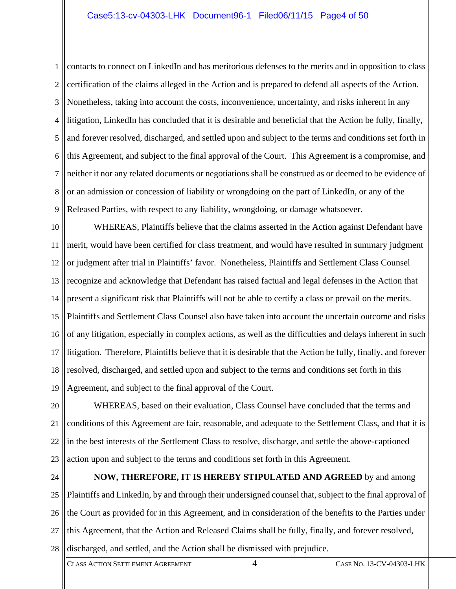1 2 3 4 5 6 7 8 9 contacts to connect on LinkedIn and has meritorious defenses to the merits and in opposition to class certification of the claims alleged in the Action and is prepared to defend all aspects of the Action. Nonetheless, taking into account the costs, inconvenience, uncertainty, and risks inherent in any litigation, LinkedIn has concluded that it is desirable and beneficial that the Action be fully, finally, and forever resolved, discharged, and settled upon and subject to the terms and conditions set forth in this Agreement, and subject to the final approval of the Court. This Agreement is a compromise, and neither it nor any related documents or negotiations shall be construed as or deemed to be evidence of or an admission or concession of liability or wrongdoing on the part of LinkedIn, or any of the Released Parties, with respect to any liability, wrongdoing, or damage whatsoever.

10 11 12 13 14 15 16 17 18 19 WHEREAS, Plaintiffs believe that the claims asserted in the Action against Defendant have merit, would have been certified for class treatment, and would have resulted in summary judgment or judgment after trial in Plaintiffs' favor. Nonetheless, Plaintiffs and Settlement Class Counsel recognize and acknowledge that Defendant has raised factual and legal defenses in the Action that present a significant risk that Plaintiffs will not be able to certify a class or prevail on the merits. Plaintiffs and Settlement Class Counsel also have taken into account the uncertain outcome and risks of any litigation, especially in complex actions, as well as the difficulties and delays inherent in such litigation. Therefore, Plaintiffs believe that it is desirable that the Action be fully, finally, and forever resolved, discharged, and settled upon and subject to the terms and conditions set forth in this Agreement, and subject to the final approval of the Court.

20 21 22 23 WHEREAS, based on their evaluation, Class Counsel have concluded that the terms and conditions of this Agreement are fair, reasonable, and adequate to the Settlement Class, and that it is in the best interests of the Settlement Class to resolve, discharge, and settle the above-captioned action upon and subject to the terms and conditions set forth in this Agreement.

24

25 26 27 28 **NOW, THEREFORE, IT IS HEREBY STIPULATED AND AGREED** by and among Plaintiffs and LinkedIn, by and through their undersigned counsel that, subject to the final approval of the Court as provided for in this Agreement, and in consideration of the benefits to the Parties under this Agreement, that the Action and Released Claims shall be fully, finally, and forever resolved, discharged, and settled, and the Action shall be dismissed with prejudice.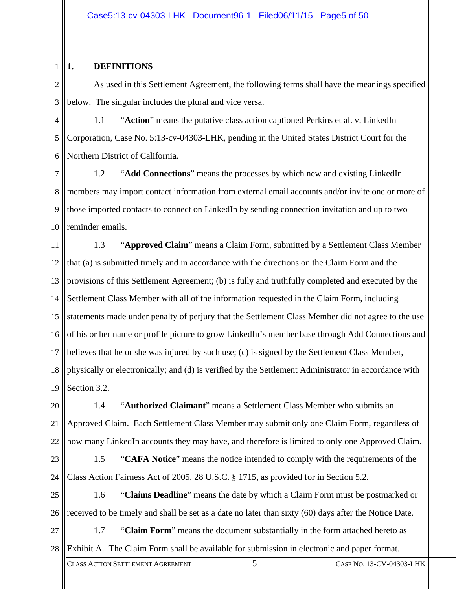#### 1 **1. DEFINITIONS**

2 3 As used in this Settlement Agreement, the following terms shall have the meanings specified below. The singular includes the plural and vice versa.

4 5 6 1.1 "**Action**" means the putative class action captioned Perkins et al. v. LinkedIn Corporation, Case No. 5:13-cv-04303-LHK, pending in the United States District Court for the Northern District of California.

7 8 9 10 1.2 "**Add Connections**" means the processes by which new and existing LinkedIn members may import contact information from external email accounts and/or invite one or more of those imported contacts to connect on LinkedIn by sending connection invitation and up to two reminder emails.

11 12 13 14 15 16 17 18 19 1.3 "**Approved Claim**" means a Claim Form, submitted by a Settlement Class Member that (a) is submitted timely and in accordance with the directions on the Claim Form and the provisions of this Settlement Agreement; (b) is fully and truthfully completed and executed by the Settlement Class Member with all of the information requested in the Claim Form, including statements made under penalty of perjury that the Settlement Class Member did not agree to the use of his or her name or profile picture to grow LinkedIn's member base through Add Connections and believes that he or she was injured by such use; (c) is signed by the Settlement Class Member, physically or electronically; and (d) is verified by the Settlement Administrator in accordance with Section 3.2.

20 21 22 1.4 "**Authorized Claimant**" means a Settlement Class Member who submits an Approved Claim. Each Settlement Class Member may submit only one Claim Form, regardless of how many LinkedIn accounts they may have, and therefore is limited to only one Approved Claim.

23 24 1.5 "**CAFA Notice**" means the notice intended to comply with the requirements of the Class Action Fairness Act of 2005, 28 U.S.C. § 1715, as provided for in Section 5.2.

25 26 1.6 "**Claims Deadline**" means the date by which a Claim Form must be postmarked or received to be timely and shall be set as a date no later than sixty (60) days after the Notice Date.

27 28 1.7 "**Claim Form**" means the document substantially in the form attached hereto as Exhibit A. The Claim Form shall be available for submission in electronic and paper format.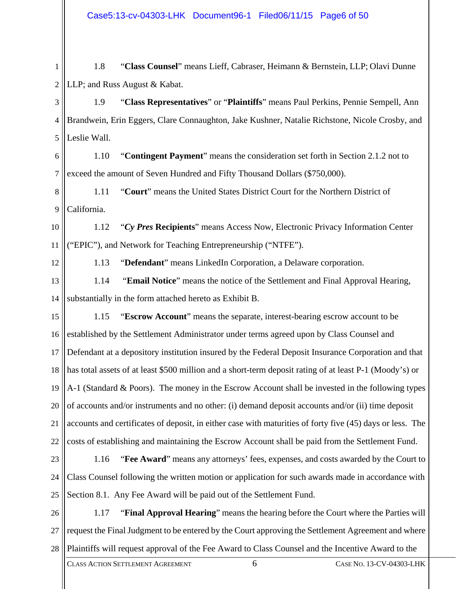1 2 1.8 "**Class Counsel**" means Lieff, Cabraser, Heimann & Bernstein, LLP; Olavi Dunne LLP; and Russ August & Kabat.

3 4 5 1.9 "**Class Representatives**" or "**Plaintiffs**" means Paul Perkins, Pennie Sempell, Ann Brandwein, Erin Eggers, Clare Connaughton, Jake Kushner, Natalie Richstone, Nicole Crosby, and Leslie Wall.

6 7 1.10 "**Contingent Payment**" means the consideration set forth in Section 2.1.2 not to exceed the amount of Seven Hundred and Fifty Thousand Dollars (\$750,000).

8 9 1.11 "**Court**" means the United States District Court for the Northern District of California.

10 11 1.12 "*Cy Pres* **Recipients**" means Access Now, Electronic Privacy Information Center ("EPIC"), and Network for Teaching Entrepreneurship ("NTFE").

12

1.13 "**Defendant**" means LinkedIn Corporation, a Delaware corporation.

13 14 1.14 "**Email Notice**" means the notice of the Settlement and Final Approval Hearing, substantially in the form attached hereto as Exhibit B.

15 16 17 18 19 20 21 22 1.15 "**Escrow Account**" means the separate, interest-bearing escrow account to be established by the Settlement Administrator under terms agreed upon by Class Counsel and Defendant at a depository institution insured by the Federal Deposit Insurance Corporation and that has total assets of at least \$500 million and a short-term deposit rating of at least P-1 (Moody's) or A-1 (Standard & Poors). The money in the Escrow Account shall be invested in the following types of accounts and/or instruments and no other: (i) demand deposit accounts and/or (ii) time deposit accounts and certificates of deposit, in either case with maturities of forty five (45) days or less. The costs of establishing and maintaining the Escrow Account shall be paid from the Settlement Fund.

- 23 24 25 1.16 "**Fee Award**" means any attorneys' fees, expenses, and costs awarded by the Court to Class Counsel following the written motion or application for such awards made in accordance with Section 8.1. Any Fee Award will be paid out of the Settlement Fund.
- 26 27 28 1.17 "**Final Approval Hearing**" means the hearing before the Court where the Parties will request the Final Judgment to be entered by the Court approving the Settlement Agreement and where Plaintiffs will request approval of the Fee Award to Class Counsel and the Incentive Award to the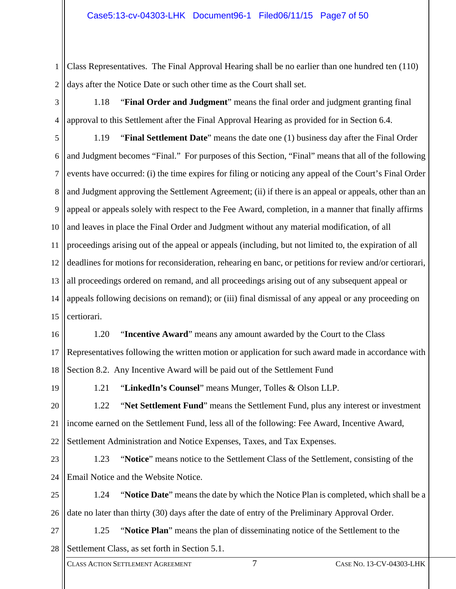1 2 Class Representatives. The Final Approval Hearing shall be no earlier than one hundred ten (110) days after the Notice Date or such other time as the Court shall set.

3 4 1.18 "**Final Order and Judgment**" means the final order and judgment granting final approval to this Settlement after the Final Approval Hearing as provided for in Section 6.4.

5 6 7 8 9 10 11 12 13 14 15 1.19 "**Final Settlement Date**" means the date one (1) business day after the Final Order and Judgment becomes "Final." For purposes of this Section, "Final" means that all of the following events have occurred: (i) the time expires for filing or noticing any appeal of the Court's Final Order and Judgment approving the Settlement Agreement; (ii) if there is an appeal or appeals, other than an appeal or appeals solely with respect to the Fee Award, completion, in a manner that finally affirms and leaves in place the Final Order and Judgment without any material modification, of all proceedings arising out of the appeal or appeals (including, but not limited to, the expiration of all deadlines for motions for reconsideration, rehearing en banc, or petitions for review and/or certiorari, all proceedings ordered on remand, and all proceedings arising out of any subsequent appeal or appeals following decisions on remand); or (iii) final dismissal of any appeal or any proceeding on certiorari.

16 17 18 1.20 "**Incentive Award**" means any amount awarded by the Court to the Class Representatives following the written motion or application for such award made in accordance with Section 8.2. Any Incentive Award will be paid out of the Settlement Fund

19

1.21 "**LinkedIn's Counsel**" means Munger, Tolles & Olson LLP.

20 21 22 1.22 "**Net Settlement Fund**" means the Settlement Fund, plus any interest or investment income earned on the Settlement Fund, less all of the following: Fee Award, Incentive Award, Settlement Administration and Notice Expenses, Taxes, and Tax Expenses.

23 24 1.23 "**Notice**" means notice to the Settlement Class of the Settlement, consisting of the Email Notice and the Website Notice.

25 26 1.24 "**Notice Date**" means the date by which the Notice Plan is completed, which shall be a date no later than thirty (30) days after the date of entry of the Preliminary Approval Order.

27 28 1.25 "**Notice Plan**" means the plan of disseminating notice of the Settlement to the Settlement Class, as set forth in Section 5.1.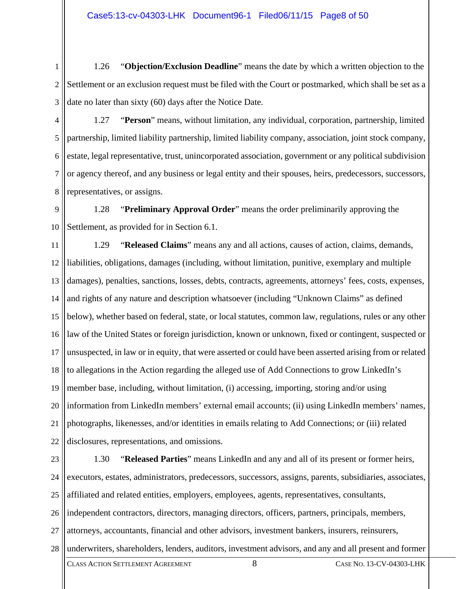1 2 3 1.26 "**Objection/Exclusion Deadline**" means the date by which a written objection to the Settlement or an exclusion request must be filed with the Court or postmarked, which shall be set as a date no later than sixty (60) days after the Notice Date.

4 5 6 7 8 1.27 "**Person**" means, without limitation, any individual, corporation, partnership, limited partnership, limited liability partnership, limited liability company, association, joint stock company, estate, legal representative, trust, unincorporated association, government or any political subdivision or agency thereof, and any business or legal entity and their spouses, heirs, predecessors, successors, representatives, or assigns.

9 10 1.28 "**Preliminary Approval Order**" means the order preliminarily approving the Settlement, as provided for in Section 6.1.

11 12 13 14 15 16 17 18 19 20 21 22 1.29 "**Released Claims**" means any and all actions, causes of action, claims, demands, liabilities, obligations, damages (including, without limitation, punitive, exemplary and multiple damages), penalties, sanctions, losses, debts, contracts, agreements, attorneys' fees, costs, expenses, and rights of any nature and description whatsoever (including "Unknown Claims" as defined below), whether based on federal, state, or local statutes, common law, regulations, rules or any other law of the United States or foreign jurisdiction, known or unknown, fixed or contingent, suspected or unsuspected, in law or in equity, that were asserted or could have been asserted arising from or related to allegations in the Action regarding the alleged use of Add Connections to grow LinkedIn's member base, including, without limitation, (i) accessing, importing, storing and/or using information from LinkedIn members' external email accounts; (ii) using LinkedIn members' names, photographs, likenesses, and/or identities in emails relating to Add Connections; or (iii) related disclosures, representations, and omissions.

23 24 25 26 27 28 1.30 "**Released Parties**" means LinkedIn and any and all of its present or former heirs, executors, estates, administrators, predecessors, successors, assigns, parents, subsidiaries, associates, affiliated and related entities, employers, employees, agents, representatives, consultants, independent contractors, directors, managing directors, officers, partners, principals, members, attorneys, accountants, financial and other advisors, investment bankers, insurers, reinsurers, underwriters, shareholders, lenders, auditors, investment advisors, and any and all present and former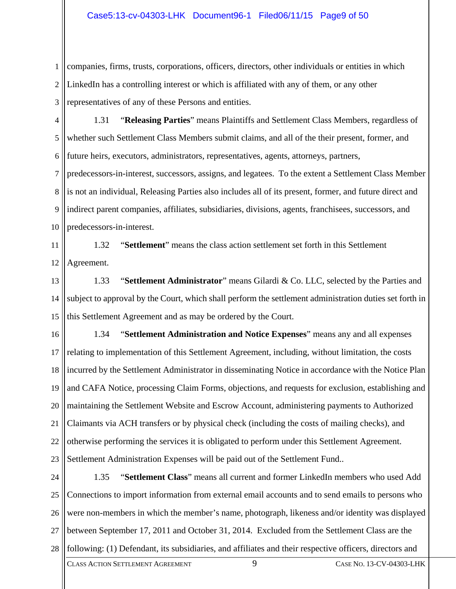1 2 3 companies, firms, trusts, corporations, officers, directors, other individuals or entities in which LinkedIn has a controlling interest or which is affiliated with any of them, or any other representatives of any of these Persons and entities.

4 5 6 1.31 "**Releasing Parties**" means Plaintiffs and Settlement Class Members, regardless of whether such Settlement Class Members submit claims, and all of the their present, former, and future heirs, executors, administrators, representatives, agents, attorneys, partners,

7 8 9 10 predecessors-in-interest, successors, assigns, and legatees. To the extent a Settlement Class Member is not an individual, Releasing Parties also includes all of its present, former, and future direct and indirect parent companies, affiliates, subsidiaries, divisions, agents, franchisees, successors, and predecessors-in-interest.

11 12 1.32 "**Settlement**" means the class action settlement set forth in this Settlement Agreement.

13 14 15 1.33 "**Settlement Administrator**" means Gilardi & Co. LLC, selected by the Parties and subject to approval by the Court, which shall perform the settlement administration duties set forth in this Settlement Agreement and as may be ordered by the Court.

16 17 18 19 20 21 22 23 1.34 "**Settlement Administration and Notice Expenses**" means any and all expenses relating to implementation of this Settlement Agreement, including, without limitation, the costs incurred by the Settlement Administrator in disseminating Notice in accordance with the Notice Plan and CAFA Notice, processing Claim Forms, objections, and requests for exclusion, establishing and maintaining the Settlement Website and Escrow Account, administering payments to Authorized Claimants via ACH transfers or by physical check (including the costs of mailing checks), and otherwise performing the services it is obligated to perform under this Settlement Agreement. Settlement Administration Expenses will be paid out of the Settlement Fund..

24 25 26 27 28 1.35 "**Settlement Class**" means all current and former LinkedIn members who used Add Connections to import information from external email accounts and to send emails to persons who were non-members in which the member's name, photograph, likeness and/or identity was displayed between September 17, 2011 and October 31, 2014. Excluded from the Settlement Class are the following: (1) Defendant, its subsidiaries, and affiliates and their respective officers, directors and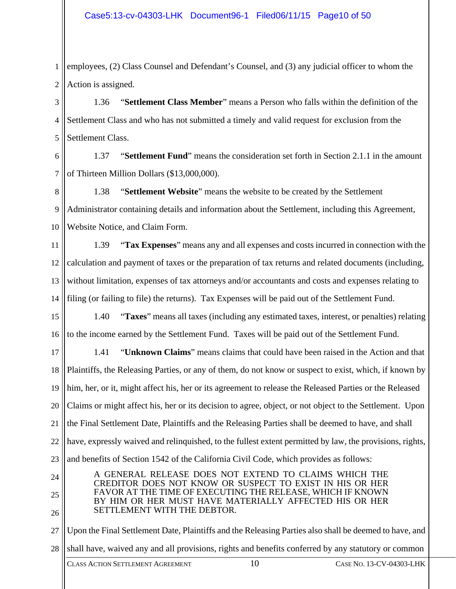1 2 employees, (2) Class Counsel and Defendant's Counsel, and (3) any judicial officer to whom the Action is assigned.

3 4 5 1.36 "**Settlement Class Member**" means a Person who falls within the definition of the Settlement Class and who has not submitted a timely and valid request for exclusion from the Settlement Class.

6 7 1.37 "**Settlement Fund**" means the consideration set forth in Section 2.1.1 in the amount of Thirteen Million Dollars (\$13,000,000).

8 9 10 1.38 "**Settlement Website**" means the website to be created by the Settlement Administrator containing details and information about the Settlement, including this Agreement, Website Notice, and Claim Form.

11 12 13 14 1.39 "**Tax Expenses**" means any and all expenses and costs incurred in connection with the calculation and payment of taxes or the preparation of tax returns and related documents (including, without limitation, expenses of tax attorneys and/or accountants and costs and expenses relating to filing (or failing to file) the returns). Tax Expenses will be paid out of the Settlement Fund.

15 16 1.40 "**Taxes**" means all taxes (including any estimated taxes, interest, or penalties) relating to the income earned by the Settlement Fund. Taxes will be paid out of the Settlement Fund.

17 18 19 20 21 22 23 1.41 "**Unknown Claims**" means claims that could have been raised in the Action and that Plaintiffs, the Releasing Parties, or any of them, do not know or suspect to exist, which, if known by him, her, or it, might affect his, her or its agreement to release the Released Parties or the Released Claims or might affect his, her or its decision to agree, object, or not object to the Settlement. Upon the Final Settlement Date, Plaintiffs and the Releasing Parties shall be deemed to have, and shall have, expressly waived and relinquished, to the fullest extent permitted by law, the provisions, rights, and benefits of Section 1542 of the California Civil Code, which provides as follows:

24 25 26 A GENERAL RELEASE DOES NOT EXTEND TO CLAIMS WHICH THE CREDITOR DOES NOT KNOW OR SUSPECT TO EXIST IN HIS OR HER FAVOR AT THE TIME OF EXECUTING THE RELEASE, WHICH IF KNOWN BY HIM OR HER MUST HAVE MATERIALLY AFFECTED HIS OR HER SETTLEMENT WITH THE DEBTOR.

27 28 Upon the Final Settlement Date, Plaintiffs and the Releasing Parties also shall be deemed to have, and shall have, waived any and all provisions, rights and benefits conferred by any statutory or common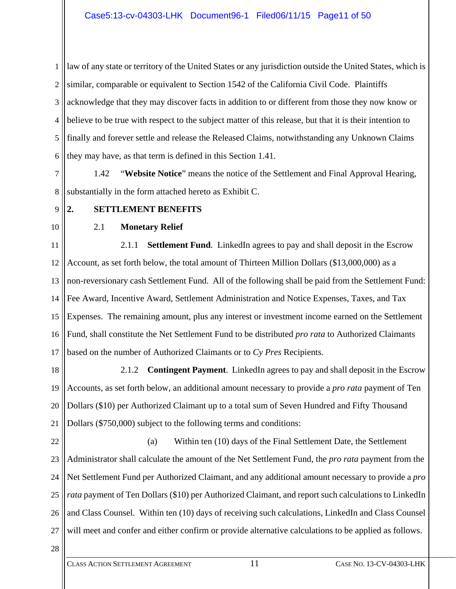1 2 3 4 5 6 law of any state or territory of the United States or any jurisdiction outside the United States, which is similar, comparable or equivalent to Section 1542 of the California Civil Code. Plaintiffs acknowledge that they may discover facts in addition to or different from those they now know or believe to be true with respect to the subject matter of this release, but that it is their intention to finally and forever settle and release the Released Claims, notwithstanding any Unknown Claims they may have, as that term is defined in this Section 1.41.

7 8 1.42 "**Website Notice**" means the notice of the Settlement and Final Approval Hearing, substantially in the form attached hereto as Exhibit C.

#### 9 **2. SETTLEMENT BENEFITS**

10

# 2.1 **Monetary Relief**

11 12 13 14 15 16 17 2.1.1 **Settlement Fund**. LinkedIn agrees to pay and shall deposit in the Escrow Account, as set forth below, the total amount of Thirteen Million Dollars (\$13,000,000) as a non-reversionary cash Settlement Fund. All of the following shall be paid from the Settlement Fund: Fee Award, Incentive Award, Settlement Administration and Notice Expenses, Taxes, and Tax Expenses. The remaining amount, plus any interest or investment income earned on the Settlement Fund, shall constitute the Net Settlement Fund to be distributed *pro rata* to Authorized Claimants based on the number of Authorized Claimants or to *Cy Pres* Recipients.

18 19 20 21 2.1.2 **Contingent Payment**. LinkedIn agrees to pay and shall deposit in the Escrow Accounts, as set forth below, an additional amount necessary to provide a *pro rata* payment of Ten Dollars (\$10) per Authorized Claimant up to a total sum of Seven Hundred and Fifty Thousand Dollars (\$750,000) subject to the following terms and conditions:

22 23 24 25 26 27 (a) Within ten (10) days of the Final Settlement Date, the Settlement Administrator shall calculate the amount of the Net Settlement Fund, the *pro rata* payment from the Net Settlement Fund per Authorized Claimant, and any additional amount necessary to provide a *pro rata* payment of Ten Dollars (\$10) per Authorized Claimant, and report such calculations to LinkedIn and Class Counsel. Within ten (10) days of receiving such calculations, LinkedIn and Class Counsel will meet and confer and either confirm or provide alternative calculations to be applied as follows.

28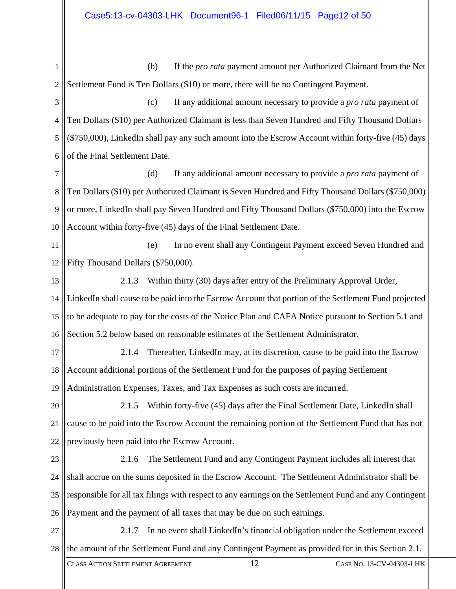1 2 (b) If the *pro rata* payment amount per Authorized Claimant from the Net Settlement Fund is Ten Dollars (\$10) or more, there will be no Contingent Payment.

3 4 5 6 (c) If any additional amount necessary to provide a *pro rata* payment of Ten Dollars (\$10) per Authorized Claimant is less than Seven Hundred and Fifty Thousand Dollars (\$750,000), LinkedIn shall pay any such amount into the Escrow Account within forty-five (45) days of the Final Settlement Date.

7 8 9 10 (d) If any additional amount necessary to provide a *pro rata* payment of Ten Dollars (\$10) per Authorized Claimant is Seven Hundred and Fifty Thousand Dollars (\$750,000) or more, LinkedIn shall pay Seven Hundred and Fifty Thousand Dollars (\$750,000) into the Escrow Account within forty-five (45) days of the Final Settlement Date.

11 12 (e) In no event shall any Contingent Payment exceed Seven Hundred and Fifty Thousand Dollars (\$750,000).

13 14 15 16 2.1.3 Within thirty (30) days after entry of the Preliminary Approval Order, LinkedIn shall cause to be paid into the Escrow Account that portion of the Settlement Fund projected to be adequate to pay for the costs of the Notice Plan and CAFA Notice pursuant to Section 5.1 and Section 5.2 below based on reasonable estimates of the Settlement Administrator.

17 18 19 2.1.4 Thereafter, LinkedIn may, at its discretion, cause to be paid into the Escrow Account additional portions of the Settlement Fund for the purposes of paying Settlement Administration Expenses, Taxes, and Tax Expenses as such costs are incurred.

20 21 22 2.1.5 Within forty-five (45) days after the Final Settlement Date, LinkedIn shall cause to be paid into the Escrow Account the remaining portion of the Settlement Fund that has not previously been paid into the Escrow Account.

23 24 25 26 2.1.6 The Settlement Fund and any Contingent Payment includes all interest that shall accrue on the sums deposited in the Escrow Account. The Settlement Administrator shall be responsible for all tax filings with respect to any earnings on the Settlement Fund and any Contingent Payment and the payment of all taxes that may be due on such earnings.

27 28 2.1.7 In no event shall LinkedIn's financial obligation under the Settlement exceed the amount of the Settlement Fund and any Contingent Payment as provided for in this Section 2.1.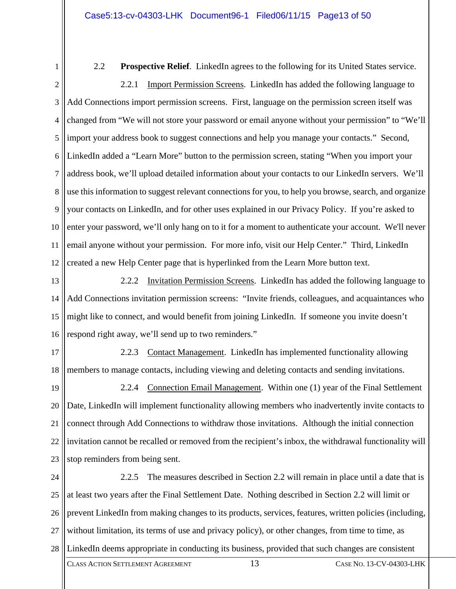1

2.2 **Prospective Relief**. LinkedIn agrees to the following for its United States service.

2 3 4 5 6 7 8 9 10 11 12 2.2.1 Import Permission Screens. LinkedIn has added the following language to Add Connections import permission screens. First, language on the permission screen itself was changed from "We will not store your password or email anyone without your permission" to "We'll import your address book to suggest connections and help you manage your contacts." Second, LinkedIn added a "Learn More" button to the permission screen, stating "When you import your address book, we'll upload detailed information about your contacts to our LinkedIn servers. We'll use this information to suggest relevant connections for you, to help you browse, search, and organize your contacts on LinkedIn, and for other uses explained in our Privacy Policy. If you're asked to enter your password, we'll only hang on to it for a moment to authenticate your account. We'll never email anyone without your permission. For more info, visit our Help Center." Third, LinkedIn created a new Help Center page that is hyperlinked from the Learn More button text.

13 14 15 16 2.2.2 Invitation Permission Screens. LinkedIn has added the following language to Add Connections invitation permission screens: "Invite friends, colleagues, and acquaintances who might like to connect, and would benefit from joining LinkedIn. If someone you invite doesn't respond right away, we'll send up to two reminders."

17 18 2.2.3 Contact Management. LinkedIn has implemented functionality allowing members to manage contacts, including viewing and deleting contacts and sending invitations.

19 20 21 22 23 2.2.4 Connection Email Management. Within one (1) year of the Final Settlement Date, LinkedIn will implement functionality allowing members who inadvertently invite contacts to connect through Add Connections to withdraw those invitations. Although the initial connection invitation cannot be recalled or removed from the recipient's inbox, the withdrawal functionality will stop reminders from being sent.

24 25 26 27 28 2.2.5 The measures described in Section 2.2 will remain in place until a date that is at least two years after the Final Settlement Date. Nothing described in Section 2.2 will limit or prevent LinkedIn from making changes to its products, services, features, written policies (including, without limitation, its terms of use and privacy policy), or other changes, from time to time, as LinkedIn deems appropriate in conducting its business, provided that such changes are consistent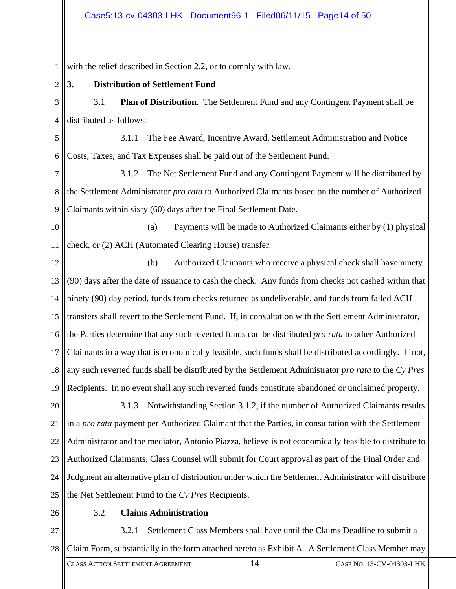#### Case5:13-cv-04303-LHK Document96-1 Filed06/11/15 Page14 of 50

1 with the relief described in Section 2.2, or to comply with law.

2 **3. Distribution of Settlement Fund** 

3 4 3.1 **Plan of Distribution**. The Settlement Fund and any Contingent Payment shall be distributed as follows:

5 6 3.1.1 The Fee Award, Incentive Award, Settlement Administration and Notice Costs, Taxes, and Tax Expenses shall be paid out of the Settlement Fund.

7 8 9 3.1.2 The Net Settlement Fund and any Contingent Payment will be distributed by the Settlement Administrator *pro rata* to Authorized Claimants based on the number of Authorized Claimants within sixty (60) days after the Final Settlement Date.

10 11 (a) Payments will be made to Authorized Claimants either by (1) physical check, or (2) ACH (Automated Clearing House) transfer.

12 13 14 15 16 17 18 19 (b) Authorized Claimants who receive a physical check shall have ninety (90) days after the date of issuance to cash the check. Any funds from checks not cashed within that ninety (90) day period, funds from checks returned as undeliverable, and funds from failed ACH transfers shall revert to the Settlement Fund. If, in consultation with the Settlement Administrator, the Parties determine that any such reverted funds can be distributed *pro rata* to other Authorized Claimants in a way that is economically feasible, such funds shall be distributed accordingly. If not, any such reverted funds shall be distributed by the Settlement Administrator *pro rata* to the *Cy Pres* Recipients. In no event shall any such reverted funds constitute abandoned or unclaimed property.

20 21 22 23 24 25 3.1.3 Notwithstanding Section 3.1.2, if the number of Authorized Claimants results in a *pro rata* payment per Authorized Claimant that the Parties, in consultation with the Settlement Administrator and the mediator, Antonio Piazza, believe is not economically feasible to distribute to Authorized Claimants, Class Counsel will submit for Court approval as part of the Final Order and Judgment an alternative plan of distribution under which the Settlement Administrator will distribute the Net Settlement Fund to the *Cy Pres* Recipients.

26

## 3.2 **Claims Administration**

27 28 3.2.1 Settlement Class Members shall have until the Claims Deadline to submit a Claim Form, substantially in the form attached hereto as Exhibit A. A Settlement Class Member may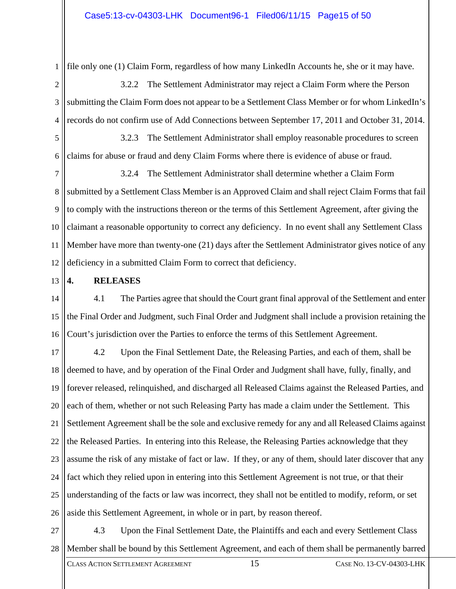1 file only one (1) Claim Form, regardless of how many LinkedIn Accounts he, she or it may have.

2 3 4 3.2.2 The Settlement Administrator may reject a Claim Form where the Person submitting the Claim Form does not appear to be a Settlement Class Member or for whom LinkedIn's records do not confirm use of Add Connections between September 17, 2011 and October 31, 2014.

5 6 3.2.3 The Settlement Administrator shall employ reasonable procedures to screen claims for abuse or fraud and deny Claim Forms where there is evidence of abuse or fraud.

7 8 9 10 11 12 3.2.4 The Settlement Administrator shall determine whether a Claim Form submitted by a Settlement Class Member is an Approved Claim and shall reject Claim Forms that fail to comply with the instructions thereon or the terms of this Settlement Agreement, after giving the claimant a reasonable opportunity to correct any deficiency. In no event shall any Settlement Class Member have more than twenty-one (21) days after the Settlement Administrator gives notice of any deficiency in a submitted Claim Form to correct that deficiency.

13 **4. RELEASES** 

14 15 16 4.1 The Parties agree that should the Court grant final approval of the Settlement and enter the Final Order and Judgment, such Final Order and Judgment shall include a provision retaining the Court's jurisdiction over the Parties to enforce the terms of this Settlement Agreement.

17 18 19 20 21 22 23 24 25 26 4.2 Upon the Final Settlement Date, the Releasing Parties, and each of them, shall be deemed to have, and by operation of the Final Order and Judgment shall have, fully, finally, and forever released, relinquished, and discharged all Released Claims against the Released Parties, and each of them, whether or not such Releasing Party has made a claim under the Settlement. This Settlement Agreement shall be the sole and exclusive remedy for any and all Released Claims against the Released Parties. In entering into this Release, the Releasing Parties acknowledge that they assume the risk of any mistake of fact or law. If they, or any of them, should later discover that any fact which they relied upon in entering into this Settlement Agreement is not true, or that their understanding of the facts or law was incorrect, they shall not be entitled to modify, reform, or set aside this Settlement Agreement, in whole or in part, by reason thereof.

27 28 4.3 Upon the Final Settlement Date, the Plaintiffs and each and every Settlement Class Member shall be bound by this Settlement Agreement, and each of them shall be permanently barred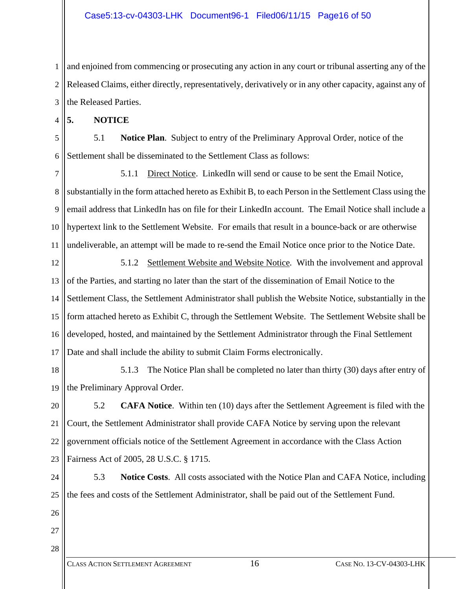1 2 3 and enjoined from commencing or prosecuting any action in any court or tribunal asserting any of the Released Claims, either directly, representatively, derivatively or in any other capacity, against any of the Released Parties.

4 **5. NOTICE** 

5 6 5.1 **Notice Plan**. Subject to entry of the Preliminary Approval Order, notice of the Settlement shall be disseminated to the Settlement Class as follows:

7 8 9 10 11 5.1.1 Direct Notice. LinkedIn will send or cause to be sent the Email Notice, substantially in the form attached hereto as Exhibit B, to each Person in the Settlement Class using the email address that LinkedIn has on file for their LinkedIn account. The Email Notice shall include a hypertext link to the Settlement Website. For emails that result in a bounce-back or are otherwise undeliverable, an attempt will be made to re-send the Email Notice once prior to the Notice Date.

12 13 14 15 16 17 5.1.2 Settlement Website and Website Notice*.* With the involvement and approval of the Parties, and starting no later than the start of the dissemination of Email Notice to the Settlement Class, the Settlement Administrator shall publish the Website Notice, substantially in the form attached hereto as Exhibit C, through the Settlement Website. The Settlement Website shall be developed, hosted, and maintained by the Settlement Administrator through the Final Settlement Date and shall include the ability to submit Claim Forms electronically.

18 19 5.1.3 The Notice Plan shall be completed no later than thirty (30) days after entry of the Preliminary Approval Order.

20 21 22 23 5.2 **CAFA Notice**. Within ten (10) days after the Settlement Agreement is filed with the Court, the Settlement Administrator shall provide CAFA Notice by serving upon the relevant government officials notice of the Settlement Agreement in accordance with the Class Action Fairness Act of 2005, 28 U.S.C. § 1715.

24 25 5.3 **Notice Costs**. All costs associated with the Notice Plan and CAFA Notice, including the fees and costs of the Settlement Administrator, shall be paid out of the Settlement Fund.

- 26
- 28

27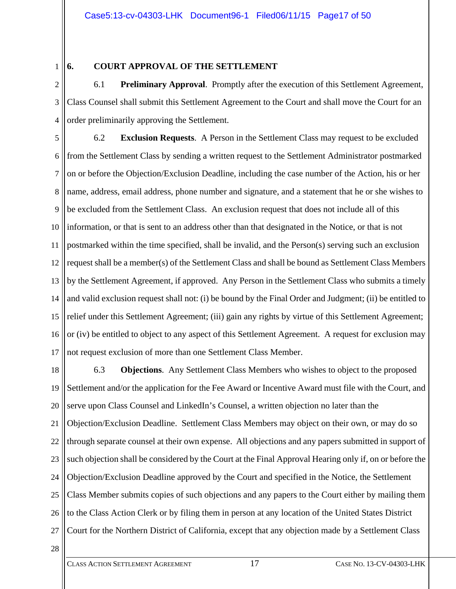1

## **6. COURT APPROVAL OF THE SETTLEMENT**

2 3 4 6.1 **Preliminary Approval**. Promptly after the execution of this Settlement Agreement, Class Counsel shall submit this Settlement Agreement to the Court and shall move the Court for an order preliminarily approving the Settlement.

5 6 7 8 9 10 11 12 13 14 15 16 17 6.2 **Exclusion Requests**. A Person in the Settlement Class may request to be excluded from the Settlement Class by sending a written request to the Settlement Administrator postmarked on or before the Objection/Exclusion Deadline, including the case number of the Action, his or her name, address, email address, phone number and signature, and a statement that he or she wishes to be excluded from the Settlement Class. An exclusion request that does not include all of this information, or that is sent to an address other than that designated in the Notice, or that is not postmarked within the time specified, shall be invalid, and the Person(s) serving such an exclusion request shall be a member(s) of the Settlement Class and shall be bound as Settlement Class Members by the Settlement Agreement, if approved. Any Person in the Settlement Class who submits a timely and valid exclusion request shall not: (i) be bound by the Final Order and Judgment; (ii) be entitled to relief under this Settlement Agreement; (iii) gain any rights by virtue of this Settlement Agreement; or (iv) be entitled to object to any aspect of this Settlement Agreement. A request for exclusion may not request exclusion of more than one Settlement Class Member.

18 19 20 21 22 23 24 25 26 27 6.3 **Objections**. Any Settlement Class Members who wishes to object to the proposed Settlement and/or the application for the Fee Award or Incentive Award must file with the Court, and serve upon Class Counsel and LinkedIn's Counsel, a written objection no later than the Objection/Exclusion Deadline. Settlement Class Members may object on their own, or may do so through separate counsel at their own expense. All objections and any papers submitted in support of such objection shall be considered by the Court at the Final Approval Hearing only if, on or before the Objection/Exclusion Deadline approved by the Court and specified in the Notice, the Settlement Class Member submits copies of such objections and any papers to the Court either by mailing them to the Class Action Clerk or by filing them in person at any location of the United States District Court for the Northern District of California, except that any objection made by a Settlement Class

28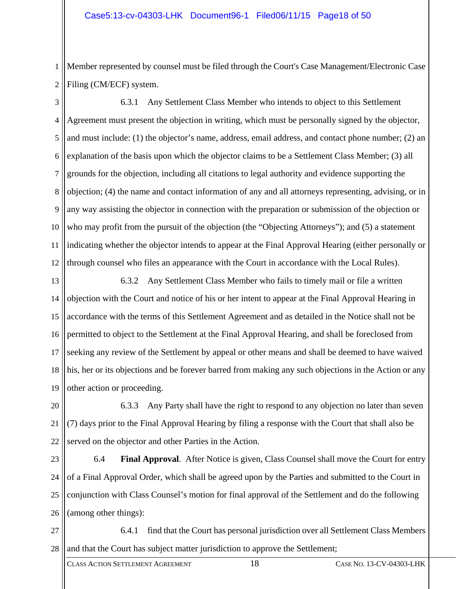1 2 Member represented by counsel must be filed through the Court's Case Management/Electronic Case Filing (CM/ECF) system.

3 4 5 6 7 8 9 10 11 12 6.3.1 Any Settlement Class Member who intends to object to this Settlement Agreement must present the objection in writing, which must be personally signed by the objector, and must include: (1) the objector's name, address, email address, and contact phone number; (2) an explanation of the basis upon which the objector claims to be a Settlement Class Member; (3) all grounds for the objection, including all citations to legal authority and evidence supporting the objection; (4) the name and contact information of any and all attorneys representing, advising, or in any way assisting the objector in connection with the preparation or submission of the objection or who may profit from the pursuit of the objection (the "Objecting Attorneys"); and (5) a statement indicating whether the objector intends to appear at the Final Approval Hearing (either personally or through counsel who files an appearance with the Court in accordance with the Local Rules).

13 14 15 16 17 18 19 6.3.2 Any Settlement Class Member who fails to timely mail or file a written objection with the Court and notice of his or her intent to appear at the Final Approval Hearing in accordance with the terms of this Settlement Agreement and as detailed in the Notice shall not be permitted to object to the Settlement at the Final Approval Hearing, and shall be foreclosed from seeking any review of the Settlement by appeal or other means and shall be deemed to have waived his, her or its objections and be forever barred from making any such objections in the Action or any other action or proceeding.

20 21 22 6.3.3 Any Party shall have the right to respond to any objection no later than seven (7) days prior to the Final Approval Hearing by filing a response with the Court that shall also be served on the objector and other Parties in the Action.

23 24 25 26 6.4 **Final Approval**. After Notice is given, Class Counsel shall move the Court for entry of a Final Approval Order, which shall be agreed upon by the Parties and submitted to the Court in conjunction with Class Counsel's motion for final approval of the Settlement and do the following (among other things):

27 28 6.4.1 find that the Court has personal jurisdiction over all Settlement Class Members and that the Court has subject matter jurisdiction to approve the Settlement;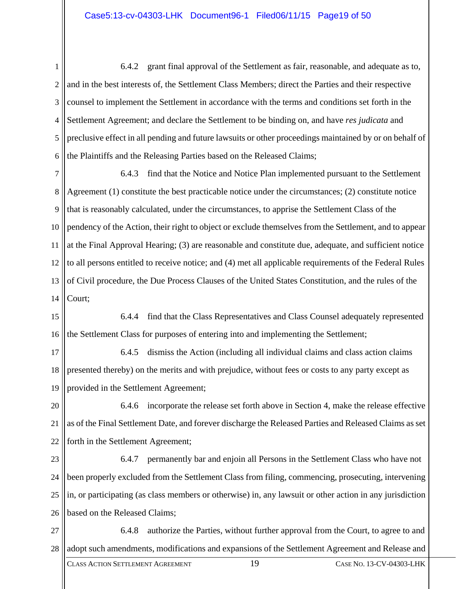#### Case5:13-cv-04303-LHK Document96-1 Filed06/11/15 Page19 of 50

1 2 3 4 5 6 6.4.2 grant final approval of the Settlement as fair, reasonable, and adequate as to, and in the best interests of, the Settlement Class Members; direct the Parties and their respective counsel to implement the Settlement in accordance with the terms and conditions set forth in the Settlement Agreement; and declare the Settlement to be binding on, and have *res judicata* and preclusive effect in all pending and future lawsuits or other proceedings maintained by or on behalf of the Plaintiffs and the Releasing Parties based on the Released Claims;

7 8 9 10 11 12 13 14 6.4.3 find that the Notice and Notice Plan implemented pursuant to the Settlement Agreement (1) constitute the best practicable notice under the circumstances; (2) constitute notice that is reasonably calculated, under the circumstances, to apprise the Settlement Class of the pendency of the Action, their right to object or exclude themselves from the Settlement, and to appear at the Final Approval Hearing; (3) are reasonable and constitute due, adequate, and sufficient notice to all persons entitled to receive notice; and (4) met all applicable requirements of the Federal Rules of Civil procedure, the Due Process Clauses of the United States Constitution, and the rules of the Court;

15 16 6.4.4 find that the Class Representatives and Class Counsel adequately represented the Settlement Class for purposes of entering into and implementing the Settlement;

17 18 19 6.4.5 dismiss the Action (including all individual claims and class action claims presented thereby) on the merits and with prejudice, without fees or costs to any party except as provided in the Settlement Agreement;

20 21 22 6.4.6 incorporate the release set forth above in Section 4, make the release effective as of the Final Settlement Date, and forever discharge the Released Parties and Released Claims as set forth in the Settlement Agreement;

23 24 25 26 6.4.7 permanently bar and enjoin all Persons in the Settlement Class who have not been properly excluded from the Settlement Class from filing, commencing, prosecuting, intervening in, or participating (as class members or otherwise) in, any lawsuit or other action in any jurisdiction based on the Released Claims;

27 28 6.4.8 authorize the Parties, without further approval from the Court, to agree to and adopt such amendments, modifications and expansions of the Settlement Agreement and Release and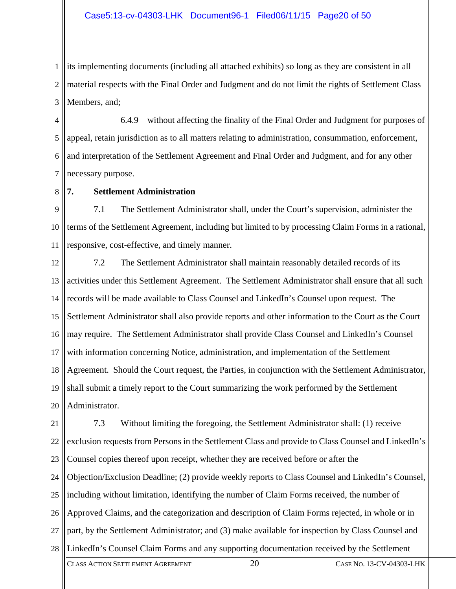1 2 3 its implementing documents (including all attached exhibits) so long as they are consistent in all material respects with the Final Order and Judgment and do not limit the rights of Settlement Class Members, and;

4 5 6 7 6.4.9 without affecting the finality of the Final Order and Judgment for purposes of appeal, retain jurisdiction as to all matters relating to administration, consummation, enforcement, and interpretation of the Settlement Agreement and Final Order and Judgment, and for any other necessary purpose.

8 **7. Settlement Administration** 

9 10 11 7.1 The Settlement Administrator shall, under the Court's supervision, administer the terms of the Settlement Agreement, including but limited to by processing Claim Forms in a rational, responsive, cost-effective, and timely manner.

12 13 14 15 16 17 18 19 20 7.2 The Settlement Administrator shall maintain reasonably detailed records of its activities under this Settlement Agreement. The Settlement Administrator shall ensure that all such records will be made available to Class Counsel and LinkedIn's Counsel upon request. The Settlement Administrator shall also provide reports and other information to the Court as the Court may require. The Settlement Administrator shall provide Class Counsel and LinkedIn's Counsel with information concerning Notice, administration, and implementation of the Settlement Agreement. Should the Court request, the Parties, in conjunction with the Settlement Administrator, shall submit a timely report to the Court summarizing the work performed by the Settlement Administrator.

21 22 23 24 25 26 27 28 7.3 Without limiting the foregoing, the Settlement Administrator shall: (1) receive exclusion requests from Persons in the Settlement Class and provide to Class Counsel and LinkedIn's Counsel copies thereof upon receipt, whether they are received before or after the Objection/Exclusion Deadline; (2) provide weekly reports to Class Counsel and LinkedIn's Counsel, including without limitation, identifying the number of Claim Forms received, the number of Approved Claims, and the categorization and description of Claim Forms rejected, in whole or in part, by the Settlement Administrator; and (3) make available for inspection by Class Counsel and LinkedIn's Counsel Claim Forms and any supporting documentation received by the Settlement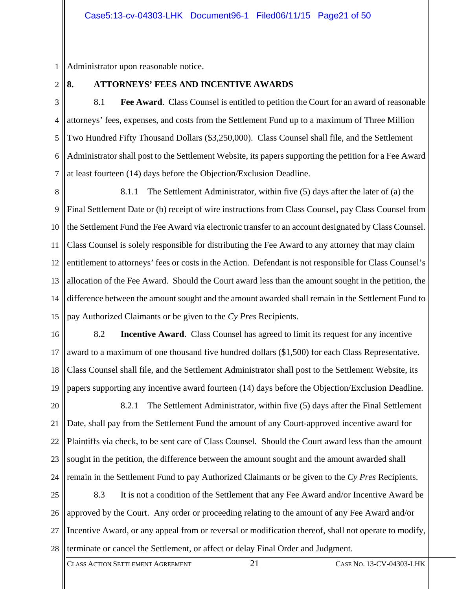1 Administrator upon reasonable notice.

 $\mathcal{D}_{\mathcal{L}}$ 

# **8. ATTORNEYS' FEES AND INCENTIVE AWARDS**

3 4 5 6 7 8.1 **Fee Award**. Class Counsel is entitled to petition the Court for an award of reasonable attorneys' fees, expenses, and costs from the Settlement Fund up to a maximum of Three Million Two Hundred Fifty Thousand Dollars (\$3,250,000). Class Counsel shall file, and the Settlement Administrator shall post to the Settlement Website, its papers supporting the petition for a Fee Award at least fourteen (14) days before the Objection/Exclusion Deadline.

8 9 10 11 12 13 14 15 8.1.1 The Settlement Administrator, within five (5) days after the later of (a) the Final Settlement Date or (b) receipt of wire instructions from Class Counsel, pay Class Counsel from the Settlement Fund the Fee Award via electronic transfer to an account designated by Class Counsel. Class Counsel is solely responsible for distributing the Fee Award to any attorney that may claim entitlement to attorneys' fees or costs in the Action. Defendant is not responsible for Class Counsel's allocation of the Fee Award. Should the Court award less than the amount sought in the petition, the difference between the amount sought and the amount awarded shall remain in the Settlement Fund to pay Authorized Claimants or be given to the *Cy Pres* Recipients.

16 17 18 19 8.2 **Incentive Award**. Class Counsel has agreed to limit its request for any incentive award to a maximum of one thousand five hundred dollars (\$1,500) for each Class Representative. Class Counsel shall file, and the Settlement Administrator shall post to the Settlement Website, its papers supporting any incentive award fourteen (14) days before the Objection/Exclusion Deadline.

20 21 22 23 24 8.2.1 The Settlement Administrator, within five (5) days after the Final Settlement Date, shall pay from the Settlement Fund the amount of any Court-approved incentive award for Plaintiffs via check, to be sent care of Class Counsel. Should the Court award less than the amount sought in the petition, the difference between the amount sought and the amount awarded shall remain in the Settlement Fund to pay Authorized Claimants or be given to the *Cy Pres* Recipients.

25 26 27 28 8.3 It is not a condition of the Settlement that any Fee Award and/or Incentive Award be approved by the Court. Any order or proceeding relating to the amount of any Fee Award and/or Incentive Award, or any appeal from or reversal or modification thereof, shall not operate to modify, terminate or cancel the Settlement, or affect or delay Final Order and Judgment.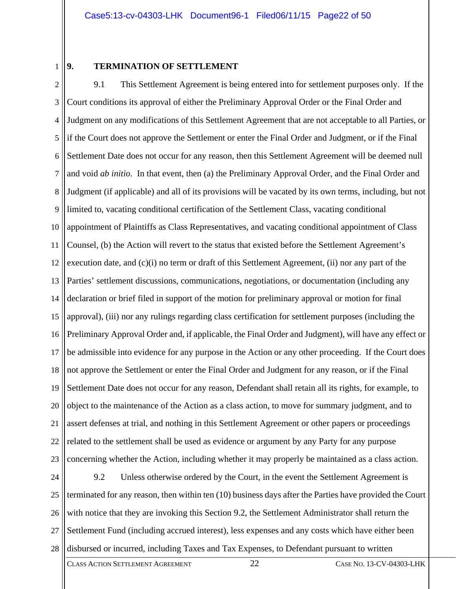1

#### **9. TERMINATION OF SETTLEMENT**

2 3 4 5 6 7 8 9 10 11 12 13 14 15 16 17 18 19 20 21 22 23 9.1 This Settlement Agreement is being entered into for settlement purposes only. If the Court conditions its approval of either the Preliminary Approval Order or the Final Order and Judgment on any modifications of this Settlement Agreement that are not acceptable to all Parties, or if the Court does not approve the Settlement or enter the Final Order and Judgment, or if the Final Settlement Date does not occur for any reason, then this Settlement Agreement will be deemed null and void *ab initio*. In that event, then (a) the Preliminary Approval Order, and the Final Order and Judgment (if applicable) and all of its provisions will be vacated by its own terms, including, but not limited to, vacating conditional certification of the Settlement Class, vacating conditional appointment of Plaintiffs as Class Representatives, and vacating conditional appointment of Class Counsel, (b) the Action will revert to the status that existed before the Settlement Agreement's execution date, and (c)(i) no term or draft of this Settlement Agreement, (ii) nor any part of the Parties' settlement discussions, communications, negotiations, or documentation (including any declaration or brief filed in support of the motion for preliminary approval or motion for final approval), (iii) nor any rulings regarding class certification for settlement purposes (including the Preliminary Approval Order and, if applicable, the Final Order and Judgment), will have any effect or be admissible into evidence for any purpose in the Action or any other proceeding. If the Court does not approve the Settlement or enter the Final Order and Judgment for any reason, or if the Final Settlement Date does not occur for any reason, Defendant shall retain all its rights, for example, to object to the maintenance of the Action as a class action, to move for summary judgment, and to assert defenses at trial, and nothing in this Settlement Agreement or other papers or proceedings related to the settlement shall be used as evidence or argument by any Party for any purpose concerning whether the Action, including whether it may properly be maintained as a class action.

24 25 26 27 28 9.2 Unless otherwise ordered by the Court, in the event the Settlement Agreement is terminated for any reason, then within ten (10) business days after the Parties have provided the Court with notice that they are invoking this Section 9.2, the Settlement Administrator shall return the Settlement Fund (including accrued interest), less expenses and any costs which have either been disbursed or incurred, including Taxes and Tax Expenses, to Defendant pursuant to written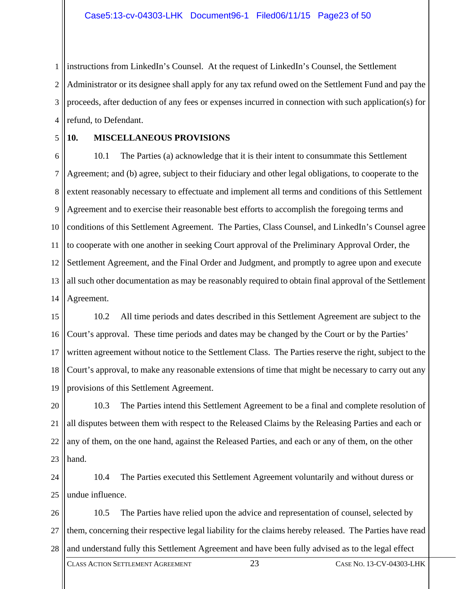1 2 3 4 instructions from LinkedIn's Counsel. At the request of LinkedIn's Counsel, the Settlement Administrator or its designee shall apply for any tax refund owed on the Settlement Fund and pay the proceeds, after deduction of any fees or expenses incurred in connection with such application(s) for refund, to Defendant.

5

#### **10. MISCELLANEOUS PROVISIONS**

6 7 8 9 10 11 12 13 14 10.1 The Parties (a) acknowledge that it is their intent to consummate this Settlement Agreement; and (b) agree, subject to their fiduciary and other legal obligations, to cooperate to the extent reasonably necessary to effectuate and implement all terms and conditions of this Settlement Agreement and to exercise their reasonable best efforts to accomplish the foregoing terms and conditions of this Settlement Agreement. The Parties, Class Counsel, and LinkedIn's Counsel agree to cooperate with one another in seeking Court approval of the Preliminary Approval Order, the Settlement Agreement, and the Final Order and Judgment, and promptly to agree upon and execute all such other documentation as may be reasonably required to obtain final approval of the Settlement Agreement.

15 16 17 18 19 10.2 All time periods and dates described in this Settlement Agreement are subject to the Court's approval. These time periods and dates may be changed by the Court or by the Parties' written agreement without notice to the Settlement Class. The Parties reserve the right, subject to the Court's approval, to make any reasonable extensions of time that might be necessary to carry out any provisions of this Settlement Agreement.

20 21 22 23 10.3 The Parties intend this Settlement Agreement to be a final and complete resolution of all disputes between them with respect to the Released Claims by the Releasing Parties and each or any of them, on the one hand, against the Released Parties, and each or any of them, on the other hand.

24 25 10.4 The Parties executed this Settlement Agreement voluntarily and without duress or undue influence.

26 27 28 10.5 The Parties have relied upon the advice and representation of counsel, selected by them, concerning their respective legal liability for the claims hereby released. The Parties have read and understand fully this Settlement Agreement and have been fully advised as to the legal effect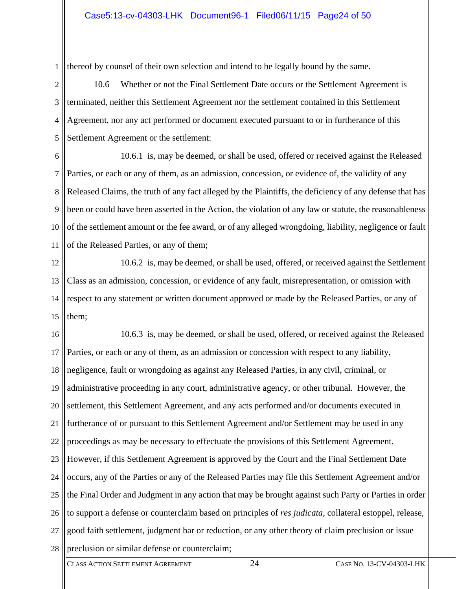1 thereof by counsel of their own selection and intend to be legally bound by the same.

2 3 4 5 10.6 Whether or not the Final Settlement Date occurs or the Settlement Agreement is terminated, neither this Settlement Agreement nor the settlement contained in this Settlement Agreement, nor any act performed or document executed pursuant to or in furtherance of this Settlement Agreement or the settlement:

6 7 8 9 10 11 10.6.1 is, may be deemed, or shall be used, offered or received against the Released Parties, or each or any of them, as an admission, concession, or evidence of, the validity of any Released Claims, the truth of any fact alleged by the Plaintiffs, the deficiency of any defense that has been or could have been asserted in the Action, the violation of any law or statute, the reasonableness of the settlement amount or the fee award, or of any alleged wrongdoing, liability, negligence or fault of the Released Parties, or any of them;

12 13 14 15 10.6.2 is, may be deemed, or shall be used, offered, or received against the Settlement Class as an admission, concession, or evidence of any fault, misrepresentation, or omission with respect to any statement or written document approved or made by the Released Parties, or any of them;

16 17 18 19 20 21 22 23 24 25 26 27 28 10.6.3 is, may be deemed, or shall be used, offered, or received against the Released Parties, or each or any of them, as an admission or concession with respect to any liability, negligence, fault or wrongdoing as against any Released Parties, in any civil, criminal, or administrative proceeding in any court, administrative agency, or other tribunal. However, the settlement, this Settlement Agreement, and any acts performed and/or documents executed in furtherance of or pursuant to this Settlement Agreement and/or Settlement may be used in any proceedings as may be necessary to effectuate the provisions of this Settlement Agreement. However, if this Settlement Agreement is approved by the Court and the Final Settlement Date occurs, any of the Parties or any of the Released Parties may file this Settlement Agreement and/or the Final Order and Judgment in any action that may be brought against such Party or Parties in order to support a defense or counterclaim based on principles of *res judicata*, collateral estoppel, release, good faith settlement, judgment bar or reduction, or any other theory of claim preclusion or issue preclusion or similar defense or counterclaim;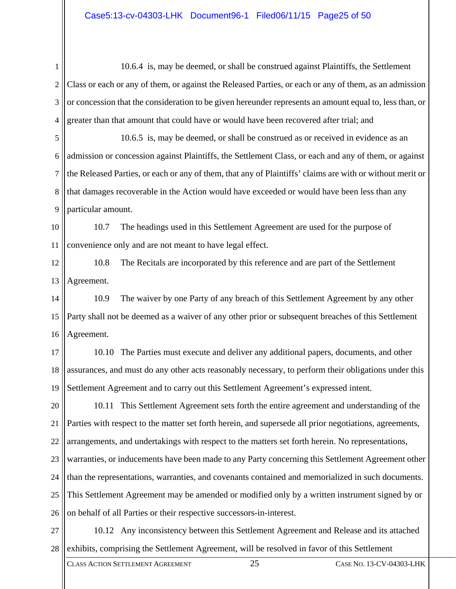1 2 3 4 10.6.4 is, may be deemed, or shall be construed against Plaintiffs, the Settlement Class or each or any of them, or against the Released Parties, or each or any of them, as an admission or concession that the consideration to be given hereunder represents an amount equal to, less than, or greater than that amount that could have or would have been recovered after trial; and

5 6 7 8 9 10.6.5 is, may be deemed, or shall be construed as or received in evidence as an admission or concession against Plaintiffs, the Settlement Class, or each and any of them, or against the Released Parties, or each or any of them, that any of Plaintiffs' claims are with or without merit or that damages recoverable in the Action would have exceeded or would have been less than any particular amount.

10 11 10.7 The headings used in this Settlement Agreement are used for the purpose of convenience only and are not meant to have legal effect.

12 13 10.8 The Recitals are incorporated by this reference and are part of the Settlement Agreement.

14 15 16 10.9 The waiver by one Party of any breach of this Settlement Agreement by any other Party shall not be deemed as a waiver of any other prior or subsequent breaches of this Settlement Agreement.

17 18 19 10.10 The Parties must execute and deliver any additional papers, documents, and other assurances, and must do any other acts reasonably necessary, to perform their obligations under this Settlement Agreement and to carry out this Settlement Agreement's expressed intent.

20 21 22 23 24 25 26 10.11 This Settlement Agreement sets forth the entire agreement and understanding of the Parties with respect to the matter set forth herein, and supersede all prior negotiations, agreements, arrangements, and undertakings with respect to the matters set forth herein. No representations, warranties, or inducements have been made to any Party concerning this Settlement Agreement other than the representations, warranties, and covenants contained and memorialized in such documents. This Settlement Agreement may be amended or modified only by a written instrument signed by or on behalf of all Parties or their respective successors-in-interest.

27 28 10.12 Any inconsistency between this Settlement Agreement and Release and its attached exhibits, comprising the Settlement Agreement, will be resolved in favor of this Settlement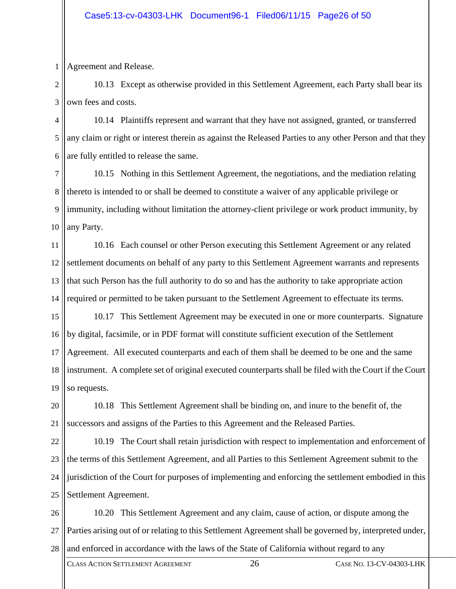1 Agreement and Release.

2 3 10.13 Except as otherwise provided in this Settlement Agreement, each Party shall bear its own fees and costs.

4 5 6 10.14 Plaintiffs represent and warrant that they have not assigned, granted, or transferred any claim or right or interest therein as against the Released Parties to any other Person and that they are fully entitled to release the same.

7 8 9 10 10.15 Nothing in this Settlement Agreement, the negotiations, and the mediation relating thereto is intended to or shall be deemed to constitute a waiver of any applicable privilege or immunity, including without limitation the attorney-client privilege or work product immunity, by any Party.

11 12 13 14 10.16 Each counsel or other Person executing this Settlement Agreement or any related settlement documents on behalf of any party to this Settlement Agreement warrants and represents that such Person has the full authority to do so and has the authority to take appropriate action required or permitted to be taken pursuant to the Settlement Agreement to effectuate its terms.

15 16 17 18 19 10.17 This Settlement Agreement may be executed in one or more counterparts. Signature by digital, facsimile, or in PDF format will constitute sufficient execution of the Settlement Agreement. All executed counterparts and each of them shall be deemed to be one and the same instrument. A complete set of original executed counterparts shall be filed with the Court if the Court so requests.

20 21 10.18 This Settlement Agreement shall be binding on, and inure to the benefit of, the successors and assigns of the Parties to this Agreement and the Released Parties.

22 23 24 25 10.19 The Court shall retain jurisdiction with respect to implementation and enforcement of the terms of this Settlement Agreement, and all Parties to this Settlement Agreement submit to the jurisdiction of the Court for purposes of implementing and enforcing the settlement embodied in this Settlement Agreement.

26 27 28 10.20 This Settlement Agreement and any claim, cause of action, or dispute among the Parties arising out of or relating to this Settlement Agreement shall be governed by, interpreted under, and enforced in accordance with the laws of the State of California without regard to any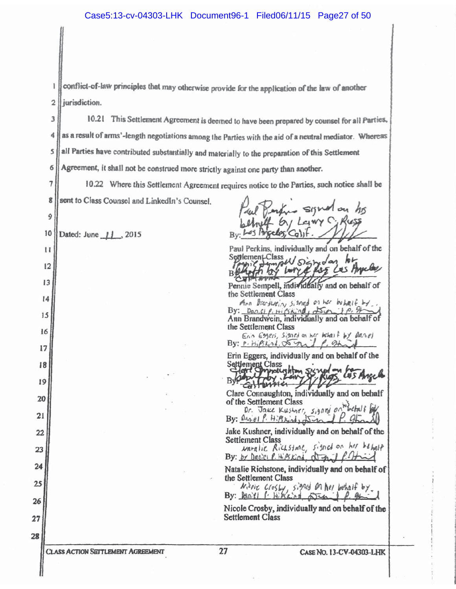conflict-of-law principles that may otherwise provide for the application of the law of another 1 jurisdiction.  $\overline{2}$ 

10.21 This Settlement Agreement is deemed to have been prepared by counsel for all Parties, 3 as a result of arms'-length negotiations among the Parties with the aid of a neutral mediator. Whereas 4 all Parties have contributed substantially and materially to the preparation of this Settlement 5 Agreement, it shall not be construed more strictly against one party than another. б

 $\overline{7}$ 10.22 Where this Settlement Agreement requires notice to the Parties, such notice shall be sent to Class Counsel and LinkedIn's Counsel. 8

10 Dated: June 11, 2015

9

 $\mathbf{1}$ 

 $12$ 

 $13$ 

14

15

16

17

18

19

20

 $21$ 

22

23

24

25

26

27

28

Paul Perkins, individually and on behalf of the  $h +$ 

Septement Class av sign dan Larre ヘコド

Pennie Sempell, individually and on behalf of the Settlement Class

Ann Brandwain, siened on her behalf by. By:  $\frac{D_{\theta}O,\ell}{\ell}$ ,  $\mu$ ,  $\ell$ ,  $\kappa$ ,  $\eta d$ ,  $\sum_{\phi} \rho$ ,  $\eta$ ,  $\gamma$ ,  $\gamma$ the Settlement Class

Erin Esgers, signed on her behave by Danel By:  $P\cdot H_1P_1K_1A_2$ ,  $\infty$  and  $P\cdot 2H_1A$ 

Erin Eggers, individually and on behalf of the Settlement Class

probleshim Externic Clare Connaughton, individually and on behalf

of the Settlement Class

Dr. Jake Kushopr, signed By: Onniel P. Hillkinds Juin

Jake Kushner, individually and on behalf of the **Settlement Class** 

Naralie Rickstme, signed on her behalf By: by Decici  $\ell$ . Hips kind,  $\Delta T = 1$  $P$ 

Natalie Richstone, individually and on behalf of the Settlement Class

Nicoic Crosby, signed on her behalf by By: **Reall** ( Hillships Din

Nicole Crosby, individually and on behalf of the **Settlement Class**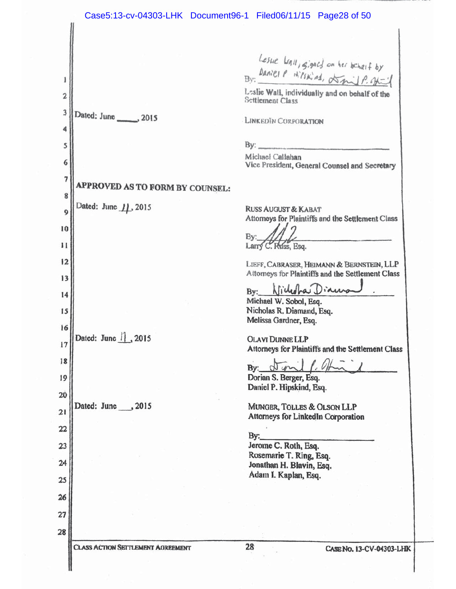Lesue Unil, gigach on her beharf by<br>Daniel P Hilskind, AmilP. official Bv:  $\mathbf{l}$ Leslie Wall, individually and on behalf of the  $\overline{a}$ Settlement Class  $\overline{\mathbf{3}}$ Dated: June \_\_\_\_\_\_\_, 2015 LINKEDIN CORPORATION 4  $By:$ 5 Michael Callahan 6 Vice President, General Counsel and Secretary 7 **APPROVED AS TO FORM BY COUNSEL:** 8 Dated: June 11, 2015 **RUSS AUGUST & KABAT**  $\boldsymbol{9}$ Attorneys for Plaintiffs and the Settlement Class 10 By: 11 Larry C. Russ, Esq.  $12$ LIEFF, CABRASER, HEIMANN & BERNSTEIN, LLP Attorneys for Plaintiffs and the Settlement Class 13 Klicholnas Diaura By: 14 Michael W. Sobol, Esq. Nicholas R. Diamand, Esq. 15 Melissa Gardner, Esq. 16 Dated: June  $| \cdot |$ , 2015 **OLAVI DUNNE LLP** 17 Attorneys for Plaintiffs and the Settlement Class 18 By: Dorian S. Berger, Esq. 19 Daniel P. Hipskind, Esq. 20 Dated: June , 2015 MUNGER, TOLLES & OLSON LLP  $21$ Attorneys for LinkedIn Corporation 22 By: Jerome C. Roth, Esq. 23 Rosemarie T. Ring, Esq.  $24$ Jonathan H. Blavin, Esq. Adam I. Kaplan, Esq. 25 26 27 28 28 **CLASS ACTION SETTLEMENT AGREEMENT** CASE No. 13-CV-04303-LHK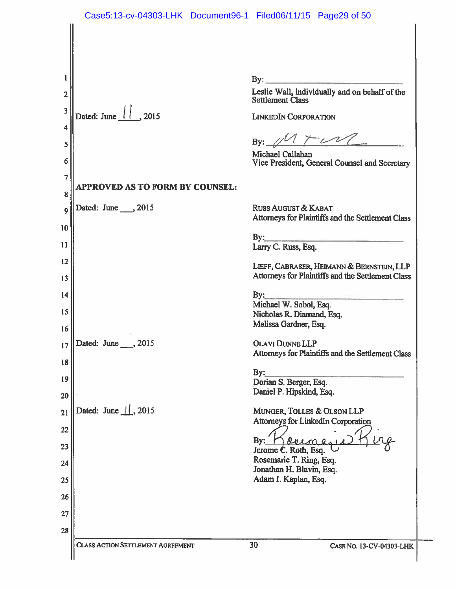$\mathbf{I}$  $\text{By:}\_$ Leslie Wall, individually and on behalf of the  $\overline{2}$ Settlement Class 3 Dated: June | 2015 **LINKEDIN CORPORATION** 4 By: 5 Michael Callahan 6 Vice President, General Counsel and Secretary  $\overline{7}$ **APPROVED AS TO FORM BY COUNSEL:** 8 Dated: June \_\_\_\_, 2015 **RUSS AUGUST & KABAT** 9 Attorneys for Plaintiffs and the Settlement Class 10  $By:$  $11$ Larry C. Russ, Esq. 12 LIEFF, CABRASER, HEIMANN & BERNSTEIN, LLP Attorneys for Plaintiffs and the Settlement Class 13  $14$  $By:$ Michael W. Sobol, Esq. 15 Nicholas R. Diamand, Esq. Melissa Gardner, Esq. 16 Dated: June , 2015 **OLAVI DUNNE LLP** 17 Attorneys for Plaintiffs and the Settlement Class 18  $By:$ 19 Dorian S. Berger, Esq. Daniel P. Hipskind, Esq. 20 Dated: June  $\frac{1}{2015}$ MUNGER, TOLLES & OLSON LLP  $21$ Attorneys for LinkedIn Corporation 22  $By:$ 23 Jerome C. Roth, Esq. Rosemarie T. Ring, Esq. 24 Jonathan H. Blavin, Esq. Adam I. Kaplan, Esq. 25 26 27 28 30 **CLASS ACTION SETTLEMENT AGREEMENT CASE NO. 13-CV-04303-LHK**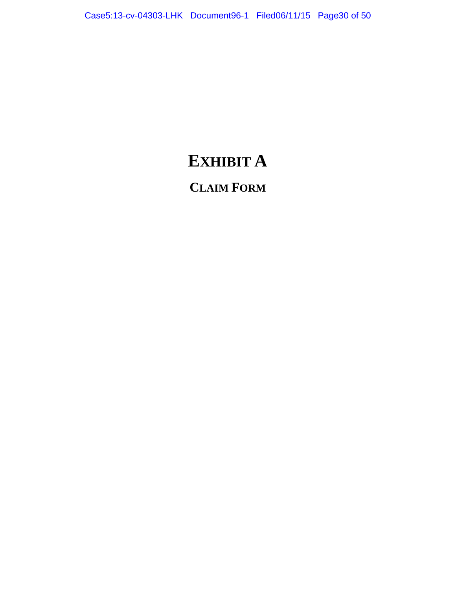# **EXHIBIT A**

# **CLAIM FORM**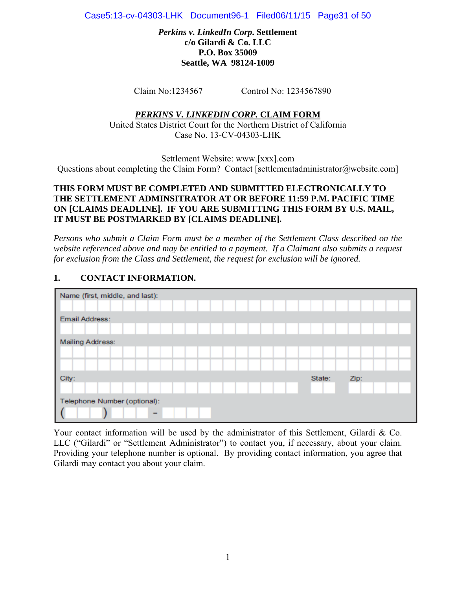Case5:13-cv-04303-LHK Document96-1 Filed06/11/15 Page31 of 50

*Perkins v. LinkedIn Corp***. Settlement c/o Gilardi & Co. LLC P.O. Box 35009 Seattle, WA 98124-1009** 

Claim No:1234567 Control No: 1234567890

#### *PERKINS V. LINKEDIN CORP.* **CLAIM FORM**

United States District Court for the Northern District of California Case No. 13-CV-04303-LHK

Settlement Website: www.[xxx].com Questions about completing the Claim Form? Contact [settlementadministrator@website.com]

#### **THIS FORM MUST BE COMPLETED AND SUBMITTED ELECTRONICALLY TO THE SETTLEMENT ADMINSITRATOR AT OR BEFORE 11:59 P.M. PACIFIC TIME ON [CLAIMS DEADLINE]. IF YOU ARE SUBMITTING THIS FORM BY U.S. MAIL, IT MUST BE POSTMARKED BY [CLAIMS DEADLINE].**

*Persons who submit a Claim Form must be a member of the Settlement Class described on the website referenced above and may be entitled to a payment. If a Claimant also submits a request for exclusion from the Class and Settlement, the request for exclusion will be ignored.* 

# **1. CONTACT INFORMATION.**



Your contact information will be used by the administrator of this Settlement, Gilardi & Co. LLC ("Gilardi" or "Settlement Administrator") to contact you, if necessary, about your claim. Providing your telephone number is optional. By providing contact information, you agree that Gilardi may contact you about your claim.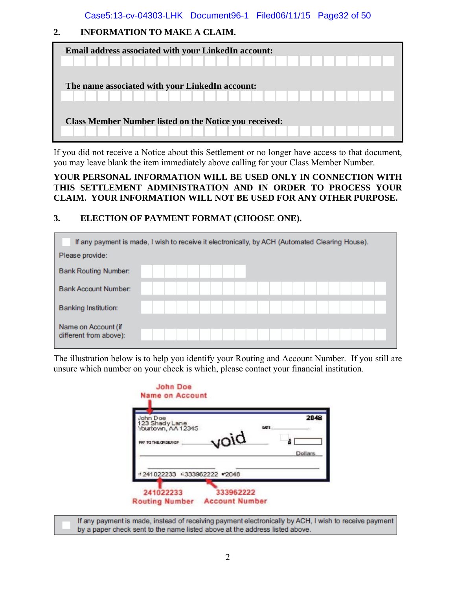Case5:13-cv-04303-LHK Document96-1 Filed06/11/15 Page32 of 50

# **2. INFORMATION TO MAKE A CLAIM.**

| Email address associated with your LinkedIn account:<br>.                           |  |  |  |  |
|-------------------------------------------------------------------------------------|--|--|--|--|
| The name associated with your LinkedIn account:<br>TT I I I I I I I I I I I I I I I |  |  |  |  |
| <b>Class Member Number listed on the Notice you received:</b>                       |  |  |  |  |

If you did not receive a Notice about this Settlement or no longer have access to that document, you may leave blank the item immediately above calling for your Class Member Number.

## **YOUR PERSONAL INFORMATION WILL BE USED ONLY IN CONNECTION WITH THIS SETTLEMENT ADMINISTRATION AND IN ORDER TO PROCESS YOUR CLAIM. YOUR INFORMATION WILL NOT BE USED FOR ANY OTHER PURPOSE.**

# **3. ELECTION OF PAYMENT FORMAT (CHOOSE ONE).**

| If any payment is made, I wish to receive it electronically, by ACH (Automated Clearing House). |  |  |  |  |                         |  |  |  |  |  |
|-------------------------------------------------------------------------------------------------|--|--|--|--|-------------------------|--|--|--|--|--|
| Please provide:                                                                                 |  |  |  |  |                         |  |  |  |  |  |
| <b>Bank Routing Number:</b>                                                                     |  |  |  |  |                         |  |  |  |  |  |
| <b>Bank Account Number:</b>                                                                     |  |  |  |  | $\sim$                  |  |  |  |  |  |
| <b>Banking Institution:</b>                                                                     |  |  |  |  | the control of the con- |  |  |  |  |  |
| Name on Account (if<br>different from above):                                                   |  |  |  |  |                         |  |  |  |  |  |

The illustration below is to help you identify your Routing and Account Number. If you still are unsure which number on your check is which, please contact your financial institution.

|                                      |                           | 2048    |
|--------------------------------------|---------------------------|---------|
| 123 Shady Lane<br>Yourtown, AA 12345 | <b>DATE</b>               |         |
|                                      |                           |         |
|                                      |                           | Dollars |
|                                      |                           |         |
|                                      |                           |         |
|                                      | piou<br>-333962222 - 2048 |         |

If any payment is made, instead of receiving payment electronically by ACH, I wish to receive payment by a paper check sent to the name listed above at the address listed above.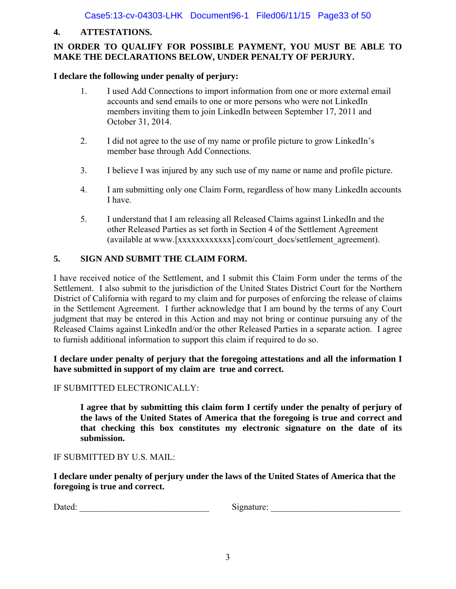# **4. ATTESTATIONS.**

# **IN ORDER TO QUALIFY FOR POSSIBLE PAYMENT, YOU MUST BE ABLE TO MAKE THE DECLARATIONS BELOW, UNDER PENALTY OF PERJURY.**

# **I declare the following under penalty of perjury:**

- 1. I used Add Connections to import information from one or more external email accounts and send emails to one or more persons who were not LinkedIn members inviting them to join LinkedIn between September 17, 2011 and October 31, 2014.
- 2. I did not agree to the use of my name or profile picture to grow LinkedIn's member base through Add Connections.
- 3. I believe I was injured by any such use of my name or name and profile picture.
- 4. I am submitting only one Claim Form, regardless of how many LinkedIn accounts I have.
- 5. I understand that I am releasing all Released Claims against LinkedIn and the other Released Parties as set forth in Section 4 of the Settlement Agreement (available at www.[xxxxxxxxxxxx].com/court\_docs/settlement\_agreement).

# **5. SIGN AND SUBMIT THE CLAIM FORM.**

I have received notice of the Settlement, and I submit this Claim Form under the terms of the Settlement. I also submit to the jurisdiction of the United States District Court for the Northern District of California with regard to my claim and for purposes of enforcing the release of claims in the Settlement Agreement. I further acknowledge that I am bound by the terms of any Court judgment that may be entered in this Action and may not bring or continue pursuing any of the Released Claims against LinkedIn and/or the other Released Parties in a separate action. I agree to furnish additional information to support this claim if required to do so.

# **I declare under penalty of perjury that the foregoing attestations and all the information I have submitted in support of my claim are true and correct.**

# IF SUBMITTED ELECTRONICALLY:

 **I agree that by submitting this claim form I certify under the penalty of perjury of the laws of the United States of America that the foregoing is true and correct and that checking this box constitutes my electronic signature on the date of its submission.** 

## IF SUBMITTED BY U.S. MAIL:

**I declare under penalty of perjury under the laws of the United States of America that the foregoing is true and correct.** 

Dated: \_\_\_\_\_\_\_\_\_\_\_\_\_\_\_\_\_\_\_\_\_\_\_\_\_\_\_\_\_ Signature: \_\_\_\_\_\_\_\_\_\_\_\_\_\_\_\_\_\_\_\_\_\_\_\_\_\_\_\_\_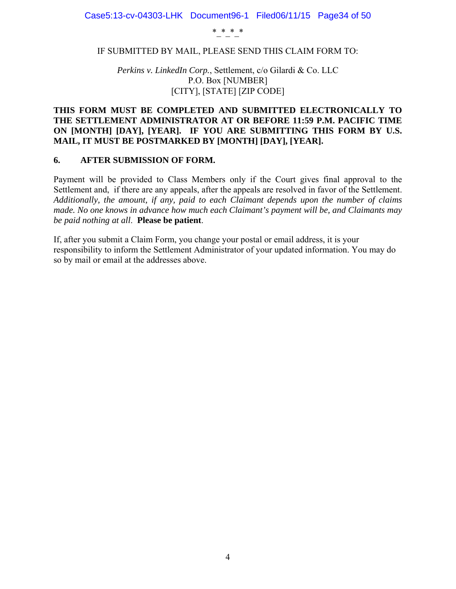\*\_\*\_\*\_\*

#### IF SUBMITTED BY MAIL, PLEASE SEND THIS CLAIM FORM TO:

*Perkins v. LinkedIn Corp.*, Settlement, c/o Gilardi & Co. LLC P.O. Box [NUMBER] [CITY], [STATE] [ZIP CODE]

#### **THIS FORM MUST BE COMPLETED AND SUBMITTED ELECTRONICALLY TO THE SETTLEMENT ADMINISTRATOR AT OR BEFORE 11:59 P.M. PACIFIC TIME ON [MONTH] [DAY], [YEAR]. IF YOU ARE SUBMITTING THIS FORM BY U.S. MAIL, IT MUST BE POSTMARKED BY [MONTH] [DAY], [YEAR].**

#### **6. AFTER SUBMISSION OF FORM.**

Payment will be provided to Class Members only if the Court gives final approval to the Settlement and, if there are any appeals, after the appeals are resolved in favor of the Settlement. *Additionally, the amount, if any, paid to each Claimant depends upon the number of claims made. No one knows in advance how much each Claimant's payment will be, and Claimants may be paid nothing at all*. **Please be patient**.

If, after you submit a Claim Form, you change your postal or email address, it is your responsibility to inform the Settlement Administrator of your updated information. You may do so by mail or email at the addresses above.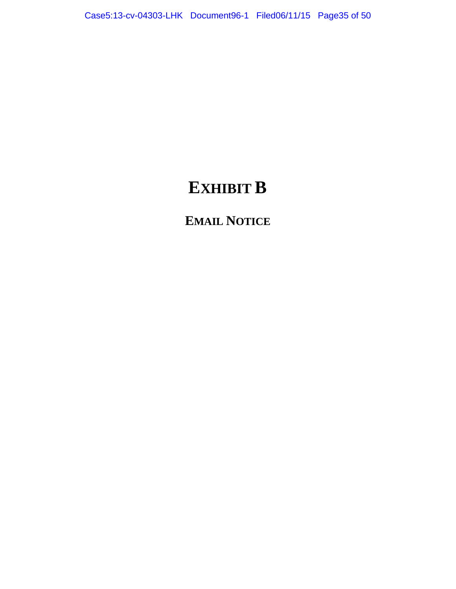# **EXHIBIT B**

**EMAIL NOTICE**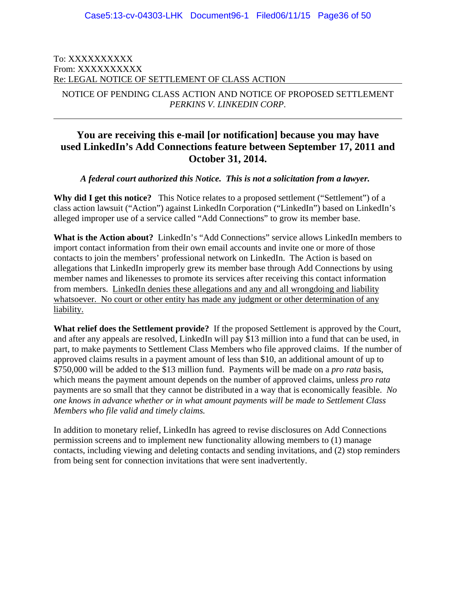#### To: XXXXXXXXXX From: XXXXXXXXXX Re: LEGAL NOTICE OF SETTLEMENT OF CLASS ACTION

 $\overline{a}$ 

NOTICE OF PENDING CLASS ACTION AND NOTICE OF PROPOSED SETTLEMENT *PERKINS V. LINKEDIN CORP*.

# **You are receiving this e-mail [or notification] because you may have used LinkedIn's Add Connections feature between September 17, 2011 and October 31, 2014.**

*A federal court authorized this Notice. This is not a solicitation from a lawyer.* 

Why did I get this notice? This Notice relates to a proposed settlement ("Settlement") of a class action lawsuit ("Action") against LinkedIn Corporation ("LinkedIn") based on LinkedIn's alleged improper use of a service called "Add Connections" to grow its member base.

**What is the Action about?** LinkedIn's "Add Connections" service allows LinkedIn members to import contact information from their own email accounts and invite one or more of those contacts to join the members' professional network on LinkedIn. The Action is based on allegations that LinkedIn improperly grew its member base through Add Connections by using member names and likenesses to promote its services after receiving this contact information from members. LinkedIn denies these allegations and any and all wrongdoing and liability whatsoever. No court or other entity has made any judgment or other determination of any liability.

**What relief does the Settlement provide?** If the proposed Settlement is approved by the Court, and after any appeals are resolved, LinkedIn will pay \$13 million into a fund that can be used, in part, to make payments to Settlement Class Members who file approved claims. If the number of approved claims results in a payment amount of less than \$10, an additional amount of up to \$750,000 will be added to the \$13 million fund. Payments will be made on a *pro rata* basis, which means the payment amount depends on the number of approved claims, unless *pro rata* payments are so small that they cannot be distributed in a way that is economically feasible. *No one knows in advance whether or in what amount payments will be made to Settlement Class Members who file valid and timely claims.* 

In addition to monetary relief, LinkedIn has agreed to revise disclosures on Add Connections permission screens and to implement new functionality allowing members to (1) manage contacts, including viewing and deleting contacts and sending invitations, and (2) stop reminders from being sent for connection invitations that were sent inadvertently.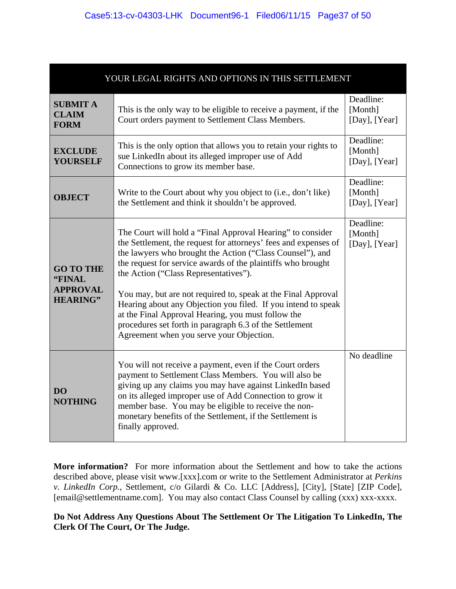| YOUR LEGAL RIGHTS AND OPTIONS IN THIS SETTLEMENT                 |                                                                                                                                                                                                                                                                                                                                                                                                                                                                                                                                                                                                    |                                         |  |  |  |  |  |  |
|------------------------------------------------------------------|----------------------------------------------------------------------------------------------------------------------------------------------------------------------------------------------------------------------------------------------------------------------------------------------------------------------------------------------------------------------------------------------------------------------------------------------------------------------------------------------------------------------------------------------------------------------------------------------------|-----------------------------------------|--|--|--|--|--|--|
| <b>SUBMIT A</b><br><b>CLAIM</b><br><b>FORM</b>                   | This is the only way to be eligible to receive a payment, if the<br>Court orders payment to Settlement Class Members.                                                                                                                                                                                                                                                                                                                                                                                                                                                                              | Deadline:<br>[Month]<br>[Day], $[Year]$ |  |  |  |  |  |  |
| <b>EXCLUDE</b><br><b>YOURSELF</b>                                | This is the only option that allows you to retain your rights to<br>sue LinkedIn about its alleged improper use of Add<br>Connections to grow its member base.                                                                                                                                                                                                                                                                                                                                                                                                                                     | Deadline:<br>[Month]<br>[Day], $[Year]$ |  |  |  |  |  |  |
| <b>OBJECT</b>                                                    | Write to the Court about why you object to (i.e., don't like)<br>the Settlement and think it shouldn't be approved.                                                                                                                                                                                                                                                                                                                                                                                                                                                                                | Deadline:<br>[Month]<br>[Day], [Year]   |  |  |  |  |  |  |
| <b>GO TO THE</b><br>"FINAL<br><b>APPROVAL</b><br><b>HEARING"</b> | The Court will hold a "Final Approval Hearing" to consider<br>the Settlement, the request for attorneys' fees and expenses of<br>the lawyers who brought the Action ("Class Counsel"), and<br>the request for service awards of the plaintiffs who brought<br>the Action ("Class Representatives").<br>You may, but are not required to, speak at the Final Approval<br>Hearing about any Objection you filed. If you intend to speak<br>at the Final Approval Hearing, you must follow the<br>procedures set forth in paragraph 6.3 of the Settlement<br>Agreement when you serve your Objection. | Deadline:<br>[Month]<br>[Day], $[Year]$ |  |  |  |  |  |  |
| D <sub>O</sub><br><b>NOTHING</b>                                 | You will not receive a payment, even if the Court orders<br>payment to Settlement Class Members. You will also be<br>giving up any claims you may have against LinkedIn based<br>on its alleged improper use of Add Connection to grow it<br>member base. You may be eligible to receive the non-<br>monetary benefits of the Settlement, if the Settlement is<br>finally approved.                                                                                                                                                                                                                | No deadline                             |  |  |  |  |  |  |

**More information?** For more information about the Settlement and how to take the actions described above, please visit www.[xxx].com or write to the Settlement Administrator at *Perkins v. LinkedIn Corp.*, Settlement, c/o Gilardi & Co. LLC [Address], [City], [State] [ZIP Code], [email@settlementname.com]. You may also contact Class Counsel by calling (xxx) xxx-xxxx.

# **Do Not Address Any Questions About The Settlement Or The Litigation To LinkedIn, The Clerk Of The Court, Or The Judge.**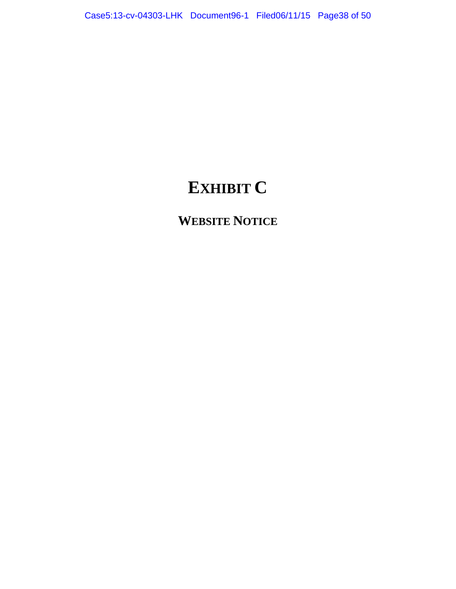# **EXHIBIT C**

**WEBSITE NOTICE**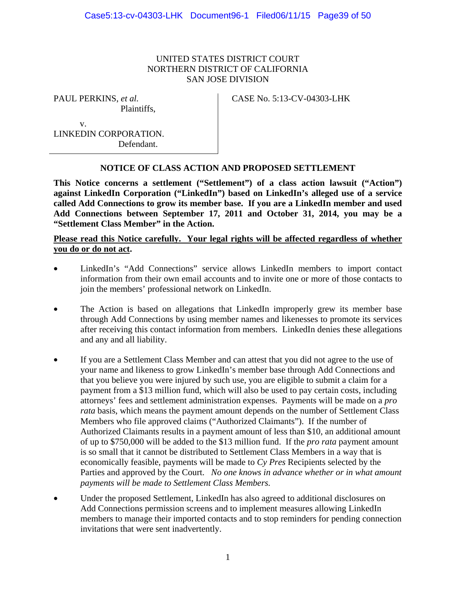#### UNITED STATES DISTRICT COURT NORTHERN DISTRICT OF CALIFORNIA SAN JOSE DIVISION

PAUL PERKINS, *et al.*

Plaintiffs,

CASE No. 5:13-CV-04303-LHK

 v. LINKEDIN CORPORATION. Defendant.

# **NOTICE OF CLASS ACTION AND PROPOSED SETTLEMENT**

**This Notice concerns a settlement ("Settlement") of a class action lawsuit ("Action") against LinkedIn Corporation ("LinkedIn") based on LinkedIn's alleged use of a service called Add Connections to grow its member base. If you are a LinkedIn member and used Add Connections between September 17, 2011 and October 31, 2014, you may be a "Settlement Class Member" in the Action.** 

# **Please read this Notice carefully. Your legal rights will be affected regardless of whether you do or do not act.**

- LinkedIn's "Add Connections" service allows LinkedIn members to import contact information from their own email accounts and to invite one or more of those contacts to join the members' professional network on LinkedIn.
- The Action is based on allegations that LinkedIn improperly grew its member base through Add Connections by using member names and likenesses to promote its services after receiving this contact information from members. LinkedIn denies these allegations and any and all liability.
- If you are a Settlement Class Member and can attest that you did not agree to the use of your name and likeness to grow LinkedIn's member base through Add Connections and that you believe you were injured by such use, you are eligible to submit a claim for a payment from a \$13 million fund, which will also be used to pay certain costs, including attorneys' fees and settlement administration expenses. Payments will be made on a *pro rata* basis, which means the payment amount depends on the number of Settlement Class Members who file approved claims ("Authorized Claimants"). If the number of Authorized Claimants results in a payment amount of less than \$10, an additional amount of up to \$750,000 will be added to the \$13 million fund. If the *pro rata* payment amount is so small that it cannot be distributed to Settlement Class Members in a way that is economically feasible, payments will be made to *Cy Pres* Recipients selected by the Parties and approved by the Court. *No one knows in advance whether or in what amount payments will be made to Settlement Class Members.*
- Under the proposed Settlement, LinkedIn has also agreed to additional disclosures on Add Connections permission screens and to implement measures allowing LinkedIn members to manage their imported contacts and to stop reminders for pending connection invitations that were sent inadvertently.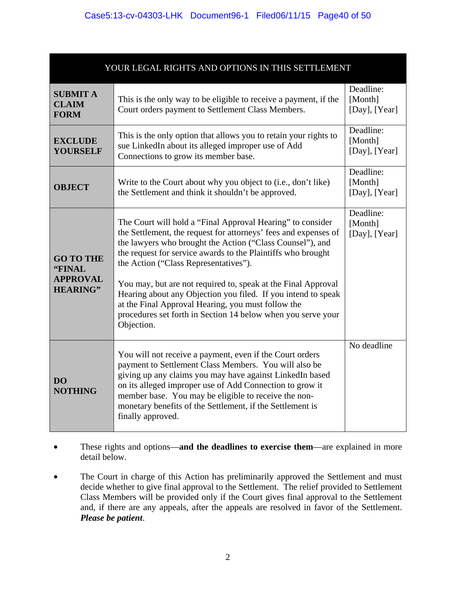| YOUR LEGAL RIGHTS AND OPTIONS IN THIS SETTLEMENT                 |                                                                                                                                                                                                                                                                                                                                                                                                                                                                                                                                                                           |                                         |  |  |  |  |  |  |  |
|------------------------------------------------------------------|---------------------------------------------------------------------------------------------------------------------------------------------------------------------------------------------------------------------------------------------------------------------------------------------------------------------------------------------------------------------------------------------------------------------------------------------------------------------------------------------------------------------------------------------------------------------------|-----------------------------------------|--|--|--|--|--|--|--|
| <b>SUBMIT A</b><br><b>CLAIM</b><br><b>FORM</b>                   | This is the only way to be eligible to receive a payment, if the<br>Court orders payment to Settlement Class Members.                                                                                                                                                                                                                                                                                                                                                                                                                                                     | Deadline:<br>[Month]<br>[Day], [Year]   |  |  |  |  |  |  |  |
| <b>EXCLUDE</b><br><b>YOURSELF</b>                                | This is the only option that allows you to retain your rights to<br>sue LinkedIn about its alleged improper use of Add<br>Connections to grow its member base.                                                                                                                                                                                                                                                                                                                                                                                                            | Deadline:<br>[Month]<br>[Day], $[Year]$ |  |  |  |  |  |  |  |
| <b>OBJECT</b>                                                    | Write to the Court about why you object to (i.e., don't like)<br>the Settlement and think it shouldn't be approved.                                                                                                                                                                                                                                                                                                                                                                                                                                                       | Deadline:<br>[Month]<br>[Day], $[Year]$ |  |  |  |  |  |  |  |
| <b>GO TO THE</b><br>"FINAL<br><b>APPROVAL</b><br><b>HEARING"</b> | The Court will hold a "Final Approval Hearing" to consider<br>the Settlement, the request for attorneys' fees and expenses of<br>the lawyers who brought the Action ("Class Counsel"), and<br>the request for service awards to the Plaintiffs who brought<br>the Action ("Class Representatives").<br>You may, but are not required to, speak at the Final Approval<br>Hearing about any Objection you filed. If you intend to speak<br>at the Final Approval Hearing, you must follow the<br>procedures set forth in Section 14 below when you serve your<br>Objection. | Deadline:<br>[Month]<br>[Day], $[Year]$ |  |  |  |  |  |  |  |
| D <sub>O</sub><br><b>NOTHING</b>                                 | You will not receive a payment, even if the Court orders<br>payment to Settlement Class Members. You will also be<br>giving up any claims you may have against LinkedIn based<br>on its alleged improper use of Add Connection to grow it<br>member base. You may be eligible to receive the non-<br>monetary benefits of the Settlement, if the Settlement is<br>finally approved.                                                                                                                                                                                       | No deadline                             |  |  |  |  |  |  |  |

- These rights and options—and the deadlines to exercise them—are explained in more detail below.
- The Court in charge of this Action has preliminarily approved the Settlement and must decide whether to give final approval to the Settlement. The relief provided to Settlement Class Members will be provided only if the Court gives final approval to the Settlement and, if there are any appeals, after the appeals are resolved in favor of the Settlement. *Please be patient*.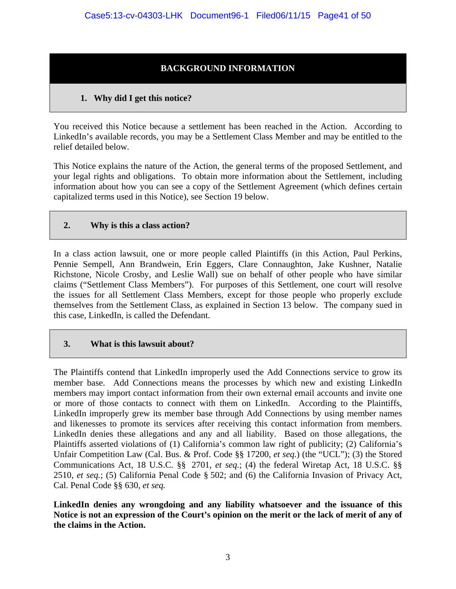# **BACKGROUND INFORMATION**

# **1. Why did I get this notice?**

You received this Notice because a settlement has been reached in the Action. According to LinkedIn's available records, you may be a Settlement Class Member and may be entitled to the relief detailed below.

This Notice explains the nature of the Action, the general terms of the proposed Settlement, and your legal rights and obligations. To obtain more information about the Settlement, including information about how you can see a copy of the Settlement Agreement (which defines certain capitalized terms used in this Notice), see Section 19 below.

## **2. Why is this a class action?**

In a class action lawsuit, one or more people called Plaintiffs (in this Action, Paul Perkins, Pennie Sempell, Ann Brandwein, Erin Eggers, Clare Connaughton, Jake Kushner, Natalie Richstone, Nicole Crosby, and Leslie Wall) sue on behalf of other people who have similar claims ("Settlement Class Members"). For purposes of this Settlement, one court will resolve the issues for all Settlement Class Members, except for those people who properly exclude themselves from the Settlement Class, as explained in Section 13 below. The company sued in this case, LinkedIn, is called the Defendant.

## **3. What is this lawsuit about?**

The Plaintiffs contend that LinkedIn improperly used the Add Connections service to grow its member base. Add Connections means the processes by which new and existing LinkedIn members may import contact information from their own external email accounts and invite one or more of those contacts to connect with them on LinkedIn. According to the Plaintiffs, LinkedIn improperly grew its member base through Add Connections by using member names and likenesses to promote its services after receiving this contact information from members. LinkedIn denies these allegations and any and all liability. Based on those allegations, the Plaintiffs asserted violations of (1) California's common law right of publicity; (2) California's Unfair Competition Law (Cal. Bus. & Prof. Code §§ 17200, *et seq.*) (the "UCL"); (3) the Stored Communications Act, 18 U.S.C. §§ 2701, *et seq.*; (4) the federal Wiretap Act, 18 U.S.C. §§ 2510, *et seq.*; (5) California Penal Code § 502; and (6) the California Invasion of Privacy Act, Cal. Penal Code §§ 630, *et seq.* 

**LinkedIn denies any wrongdoing and any liability whatsoever and the issuance of this Notice is not an expression of the Court's opinion on the merit or the lack of merit of any of the claims in the Action.**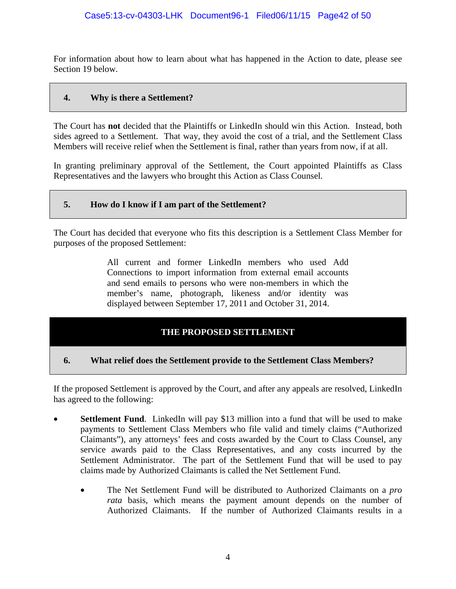For information about how to learn about what has happened in the Action to date, please see Section 19 below.

#### **4. Why is there a Settlement?**

The Court has **not** decided that the Plaintiffs or LinkedIn should win this Action. Instead, both sides agreed to a Settlement. That way, they avoid the cost of a trial, and the Settlement Class Members will receive relief when the Settlement is final, rather than years from now, if at all.

In granting preliminary approval of the Settlement, the Court appointed Plaintiffs as Class Representatives and the lawyers who brought this Action as Class Counsel.

# **5. How do I know if I am part of the Settlement?**

The Court has decided that everyone who fits this description is a Settlement Class Member for purposes of the proposed Settlement:

> All current and former LinkedIn members who used Add Connections to import information from external email accounts and send emails to persons who were non-members in which the member's name, photograph, likeness and/or identity was displayed between September 17, 2011 and October 31, 2014.

## **THE PROPOSED SETTLEMENT**

## **6. What relief does the Settlement provide to the Settlement Class Members?**

If the proposed Settlement is approved by the Court, and after any appeals are resolved, LinkedIn has agreed to the following:

- **Settlement Fund.** LinkedIn will pay \$13 million into a fund that will be used to make payments to Settlement Class Members who file valid and timely claims ("Authorized Claimants"), any attorneys' fees and costs awarded by the Court to Class Counsel, any service awards paid to the Class Representatives, and any costs incurred by the Settlement Administrator. The part of the Settlement Fund that will be used to pay claims made by Authorized Claimants is called the Net Settlement Fund.
	- The Net Settlement Fund will be distributed to Authorized Claimants on a *pro rata* basis, which means the payment amount depends on the number of Authorized Claimants. If the number of Authorized Claimants results in a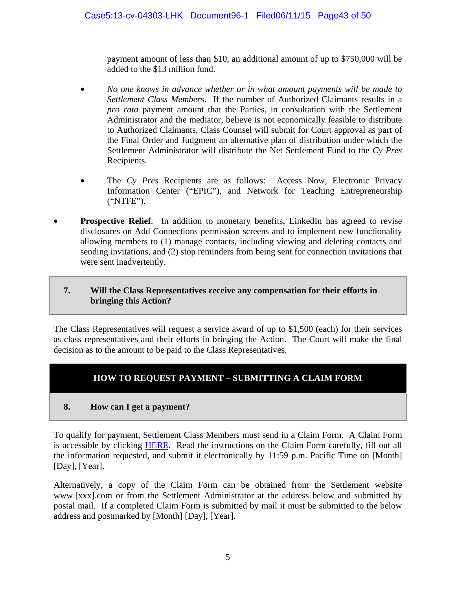payment amount of less than \$10, an additional amount of up to \$750,000 will be added to the \$13 million fund.

- *No one knows in advance whether or in what amount payments will be made to Settlement Class Members*. If the number of Authorized Claimants results in a *pro rata* payment amount that the Parties, in consultation with the Settlement Administrator and the mediator, believe is not economically feasible to distribute to Authorized Claimants, Class Counsel will submit for Court approval as part of the Final Order and Judgment an alternative plan of distribution under which the Settlement Administrator will distribute the Net Settlement Fund to the *Cy Pres* Recipients.
- The *Cy Pres* Recipients are as follows: Access Now, Electronic Privacy Information Center ("EPIC"), and Network for Teaching Entrepreneurship ("NTFE").
- **Prospective Relief.** In addition to monetary benefits, LinkedIn has agreed to revise disclosures on Add Connections permission screens and to implement new functionality allowing members to (1) manage contacts, including viewing and deleting contacts and sending invitations, and (2) stop reminders from being sent for connection invitations that were sent inadvertently.

# **7. Will the Class Representatives receive any compensation for their efforts in bringing this Action?**

The Class Representatives will request a service award of up to \$1,500 (each) for their services as class representatives and their efforts in bringing the Action. The Court will make the final decision as to the amount to be paid to the Class Representatives.

# **HOW TO REQUEST PAYMENT – SUBMITTING A CLAIM FORM**

# **8. How can I get a payment?**

To qualify for payment, Settlement Class Members must send in a Claim Form. A Claim Form is accessible by clicking HERE. Read the instructions on the Claim Form carefully, fill out all the information requested, and submit it electronically by 11:59 p.m. Pacific Time on [Month] [Day], [Year].

Alternatively, a copy of the Claim Form can be obtained from the Settlement website www.[xxx].com or from the Settlement Administrator at the address below and submitted by postal mail. If a completed Claim Form is submitted by mail it must be submitted to the below address and postmarked by [Month] [Day], [Year].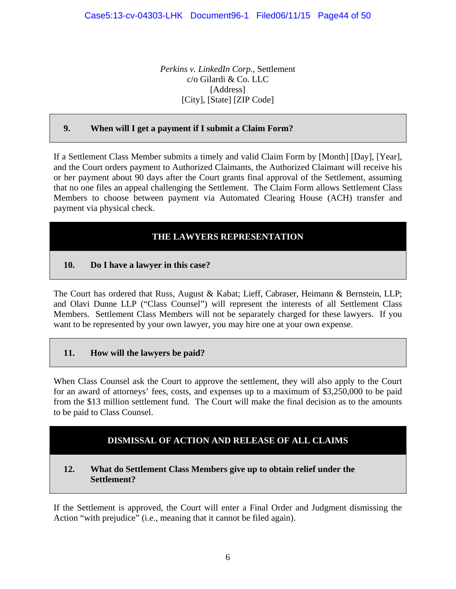*Perkins v. LinkedIn Corp.*, Settlement c/o Gilardi & Co. LLC [Address] [City], [State] [ZIP Code]

# **9. When will I get a payment if I submit a Claim Form?**

If a Settlement Class Member submits a timely and valid Claim Form by [Month] [Day], [Year], and the Court orders payment to Authorized Claimants, the Authorized Claimant will receive his or her payment about 90 days after the Court grants final approval of the Settlement, assuming that no one files an appeal challenging the Settlement. The Claim Form allows Settlement Class Members to choose between payment via Automated Clearing House (ACH) transfer and payment via physical check.

# **THE LAWYERS REPRESENTATION**

## **10. Do I have a lawyer in this case?**

The Court has ordered that Russ, August & Kabat; Lieff, Cabraser, Heimann & Bernstein, LLP; and Olavi Dunne LLP ("Class Counsel") will represent the interests of all Settlement Class Members. Settlement Class Members will not be separately charged for these lawyers. If you want to be represented by your own lawyer, you may hire one at your own expense.

## **11. How will the lawyers be paid?**

When Class Counsel ask the Court to approve the settlement, they will also apply to the Court for an award of attorneys' fees, costs, and expenses up to a maximum of \$3,250,000 to be paid from the \$13 million settlement fund. The Court will make the final decision as to the amounts to be paid to Class Counsel.

# **DISMISSAL OF ACTION AND RELEASE OF ALL CLAIMS**

#### **12. What do Settlement Class Members give up to obtain relief under the Settlement?**

If the Settlement is approved, the Court will enter a Final Order and Judgment dismissing the Action "with prejudice" (i.e., meaning that it cannot be filed again).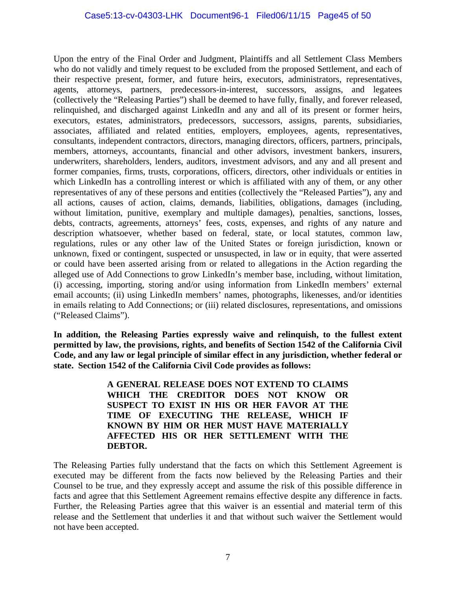Upon the entry of the Final Order and Judgment, Plaintiffs and all Settlement Class Members who do not validly and timely request to be excluded from the proposed Settlement, and each of their respective present, former, and future heirs, executors, administrators, representatives, agents, attorneys, partners, predecessors-in-interest, successors, assigns, and legatees (collectively the "Releasing Parties") shall be deemed to have fully, finally, and forever released, relinquished, and discharged against LinkedIn and any and all of its present or former heirs, executors, estates, administrators, predecessors, successors, assigns, parents, subsidiaries, associates, affiliated and related entities, employers, employees, agents, representatives, consultants, independent contractors, directors, managing directors, officers, partners, principals, members, attorneys, accountants, financial and other advisors, investment bankers, insurers, underwriters, shareholders, lenders, auditors, investment advisors, and any and all present and former companies, firms, trusts, corporations, officers, directors, other individuals or entities in which LinkedIn has a controlling interest or which is affiliated with any of them, or any other representatives of any of these persons and entities (collectively the "Released Parties"), any and all actions, causes of action, claims, demands, liabilities, obligations, damages (including, without limitation, punitive, exemplary and multiple damages), penalties, sanctions, losses, debts, contracts, agreements, attorneys' fees, costs, expenses, and rights of any nature and description whatsoever, whether based on federal, state, or local statutes, common law, regulations, rules or any other law of the United States or foreign jurisdiction, known or unknown, fixed or contingent, suspected or unsuspected, in law or in equity, that were asserted or could have been asserted arising from or related to allegations in the Action regarding the alleged use of Add Connections to grow LinkedIn's member base, including, without limitation, (i) accessing, importing, storing and/or using information from LinkedIn members' external email accounts; (ii) using LinkedIn members' names, photographs, likenesses, and/or identities in emails relating to Add Connections; or (iii) related disclosures, representations, and omissions ("Released Claims").

**In addition, the Releasing Parties expressly waive and relinquish, to the fullest extent permitted by law, the provisions, rights, and benefits of Section 1542 of the California Civil Code, and any law or legal principle of similar effect in any jurisdiction, whether federal or state. Section 1542 of the California Civil Code provides as follows:** 

> **A GENERAL RELEASE DOES NOT EXTEND TO CLAIMS WHICH THE CREDITOR DOES NOT KNOW OR SUSPECT TO EXIST IN HIS OR HER FAVOR AT THE TIME OF EXECUTING THE RELEASE, WHICH IF KNOWN BY HIM OR HER MUST HAVE MATERIALLY AFFECTED HIS OR HER SETTLEMENT WITH THE DEBTOR.**

The Releasing Parties fully understand that the facts on which this Settlement Agreement is executed may be different from the facts now believed by the Releasing Parties and their Counsel to be true, and they expressly accept and assume the risk of this possible difference in facts and agree that this Settlement Agreement remains effective despite any difference in facts. Further, the Releasing Parties agree that this waiver is an essential and material term of this release and the Settlement that underlies it and that without such waiver the Settlement would not have been accepted.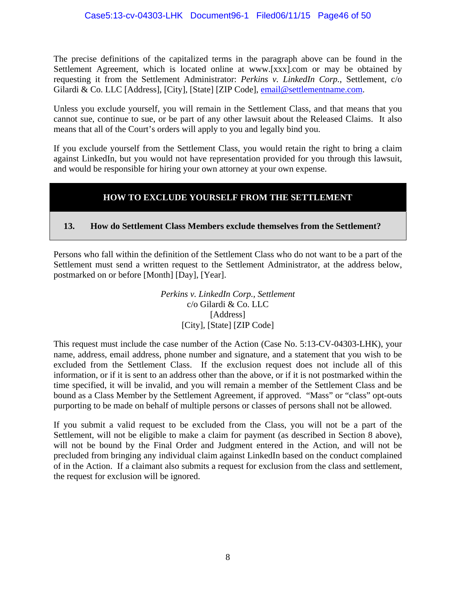The precise definitions of the capitalized terms in the paragraph above can be found in the Settlement Agreement, which is located online at www.[xxx].com or may be obtained by requesting it from the Settlement Administrator: *Perkins v. LinkedIn Corp.*, Settlement, c/o Gilardi & Co. LLC [Address], [City], [State] [ZIP Code], **email@settlementname.com.** 

Unless you exclude yourself, you will remain in the Settlement Class, and that means that you cannot sue, continue to sue, or be part of any other lawsuit about the Released Claims. It also means that all of the Court's orders will apply to you and legally bind you.

If you exclude yourself from the Settlement Class, you would retain the right to bring a claim against LinkedIn, but you would not have representation provided for you through this lawsuit, and would be responsible for hiring your own attorney at your own expense.

# **HOW TO EXCLUDE YOURSELF FROM THE SETTLEMENT**

# **13. How do Settlement Class Members exclude themselves from the Settlement?**

Persons who fall within the definition of the Settlement Class who do not want to be a part of the Settlement must send a written request to the Settlement Administrator, at the address below, postmarked on or before [Month] [Day], [Year].

> *Perkins v. LinkedIn Corp., Settlement*  c/o Gilardi & Co. LLC [Address] [City], [State] [ZIP Code]

This request must include the case number of the Action (Case No. 5:13-CV-04303-LHK), your name, address, email address, phone number and signature, and a statement that you wish to be excluded from the Settlement Class. If the exclusion request does not include all of this information, or if it is sent to an address other than the above, or if it is not postmarked within the time specified, it will be invalid, and you will remain a member of the Settlement Class and be bound as a Class Member by the Settlement Agreement, if approved. "Mass" or "class" opt-outs purporting to be made on behalf of multiple persons or classes of persons shall not be allowed.

If you submit a valid request to be excluded from the Class, you will not be a part of the Settlement, will not be eligible to make a claim for payment (as described in Section 8 above), will not be bound by the Final Order and Judgment entered in the Action, and will not be precluded from bringing any individual claim against LinkedIn based on the conduct complained of in the Action. If a claimant also submits a request for exclusion from the class and settlement, the request for exclusion will be ignored.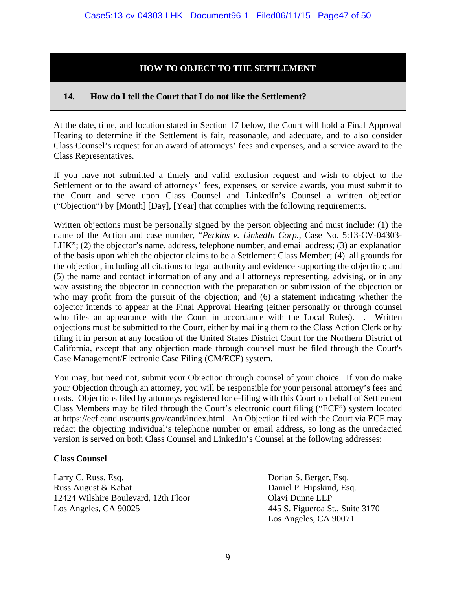# **HOW TO OBJECT TO THE SETTLEMENT**

#### **14. How do I tell the Court that I do not like the Settlement?**

At the date, time, and location stated in Section 17 below, the Court will hold a Final Approval Hearing to determine if the Settlement is fair, reasonable, and adequate, and to also consider Class Counsel's request for an award of attorneys' fees and expenses, and a service award to the Class Representatives.

If you have not submitted a timely and valid exclusion request and wish to object to the Settlement or to the award of attorneys' fees, expenses, or service awards, you must submit to the Court and serve upon Class Counsel and LinkedIn's Counsel a written objection ("Objection") by [Month] [Day], [Year] that complies with the following requirements.

Written objections must be personally signed by the person objecting and must include: (1) the name of the Action and case number, "*Perkins v. LinkedIn Corp.*, Case No. 5:13-CV-04303- LHK"; (2) the objector's name, address, telephone number, and email address; (3) an explanation of the basis upon which the objector claims to be a Settlement Class Member; (4) all grounds for the objection, including all citations to legal authority and evidence supporting the objection; and (5) the name and contact information of any and all attorneys representing, advising, or in any way assisting the objector in connection with the preparation or submission of the objection or who may profit from the pursuit of the objection; and (6) a statement indicating whether the objector intends to appear at the Final Approval Hearing (either personally or through counsel who files an appearance with the Court in accordance with the Local Rules). . Written objections must be submitted to the Court, either by mailing them to the Class Action Clerk or by filing it in person at any location of the United States District Court for the Northern District of California, except that any objection made through counsel must be filed through the Court's Case Management/Electronic Case Filing (CM/ECF) system.

You may, but need not, submit your Objection through counsel of your choice. If you do make your Objection through an attorney, you will be responsible for your personal attorney's fees and costs. Objections filed by attorneys registered for e-filing with this Court on behalf of Settlement Class Members may be filed through the Court's electronic court filing ("ECF") system located at https://ecf.cand.uscourts.gov/cand/index.html. An Objection filed with the Court via ECF may redact the objecting individual's telephone number or email address, so long as the unredacted version is served on both Class Counsel and LinkedIn's Counsel at the following addresses:

#### **Class Counsel**

Larry C. Russ, Esq. Dorian S. Berger, Esq. Russ August & Kabat Daniel P. Hipskind, Esq. 12424 Wilshire Boulevard, 12th Floor Olavi Dunne LLP Los Angeles, CA 90025 445 S. Figueroa St., Suite 3170

Los Angeles, CA 90071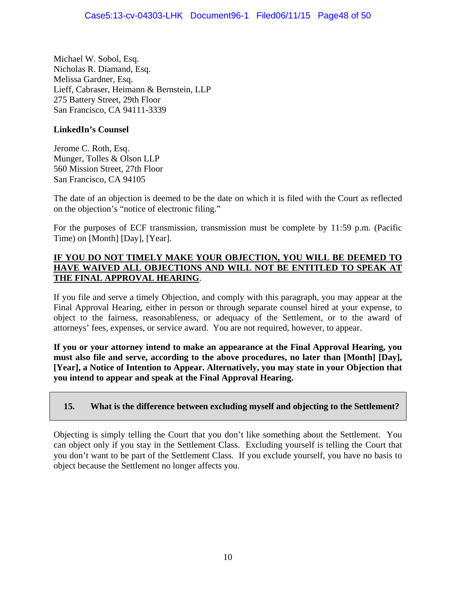Michael W. Sobol, Esq. Nicholas R. Diamand, Esq. Melissa Gardner, Esq. Lieff, Cabraser, Heimann & Bernstein, LLP 275 Battery Street, 29th Floor San Francisco, CA 94111-3339

# **LinkedIn's Counsel**

Jerome C. Roth, Esq. Munger, Tolles & Olson LLP 560 Mission Street, 27th Floor San Francisco, CA 94105

The date of an objection is deemed to be the date on which it is filed with the Court as reflected on the objection's "notice of electronic filing."

For the purposes of ECF transmission, transmission must be complete by 11:59 p.m. (Pacific Time) on [Month] [Day], [Year].

## **IF YOU DO NOT TIMELY MAKE YOUR OBJECTION, YOU WILL BE DEEMED TO HAVE WAIVED ALL OBJECTIONS AND WILL NOT BE ENTITLED TO SPEAK AT THE FINAL APPROVAL HEARING**.

If you file and serve a timely Objection, and comply with this paragraph, you may appear at the Final Approval Hearing, either in person or through separate counsel hired at your expense, to object to the fairness, reasonableness, or adequacy of the Settlement, or to the award of attorneys' fees, expenses, or service award. You are not required, however, to appear.

**If you or your attorney intend to make an appearance at the Final Approval Hearing, you must also file and serve, according to the above procedures, no later than [Month] [Day], [Year], a Notice of Intention to Appear. Alternatively, you may state in your Objection that you intend to appear and speak at the Final Approval Hearing.** 

# **15. What is the difference between excluding myself and objecting to the Settlement?**

Objecting is simply telling the Court that you don't like something about the Settlement. You can object only if you stay in the Settlement Class. Excluding yourself is telling the Court that you don't want to be part of the Settlement Class. If you exclude yourself, you have no basis to object because the Settlement no longer affects you.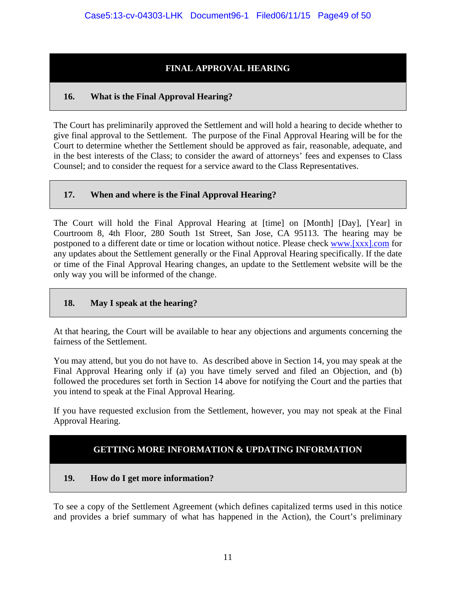# **FINAL APPROVAL HEARING**

# **16. What is the Final Approval Hearing?**

The Court has preliminarily approved the Settlement and will hold a hearing to decide whether to give final approval to the Settlement. The purpose of the Final Approval Hearing will be for the Court to determine whether the Settlement should be approved as fair, reasonable, adequate, and in the best interests of the Class; to consider the award of attorneys' fees and expenses to Class Counsel; and to consider the request for a service award to the Class Representatives.

# **17. When and where is the Final Approval Hearing?**

The Court will hold the Final Approval Hearing at [time] on [Month] [Day], [Year] in Courtroom 8, 4th Floor, 280 South 1st Street, San Jose, CA 95113. The hearing may be postponed to a different date or time or location without notice. Please check www.[xxx].com for any updates about the Settlement generally or the Final Approval Hearing specifically. If the date or time of the Final Approval Hearing changes, an update to the Settlement website will be the only way you will be informed of the change.

# **18. May I speak at the hearing?**

At that hearing, the Court will be available to hear any objections and arguments concerning the fairness of the Settlement.

You may attend, but you do not have to. As described above in Section 14, you may speak at the Final Approval Hearing only if (a) you have timely served and filed an Objection, and (b) followed the procedures set forth in Section 14 above for notifying the Court and the parties that you intend to speak at the Final Approval Hearing.

If you have requested exclusion from the Settlement, however, you may not speak at the Final Approval Hearing.

# **GETTING MORE INFORMATION & UPDATING INFORMATION**

# **19. How do I get more information?**

To see a copy of the Settlement Agreement (which defines capitalized terms used in this notice and provides a brief summary of what has happened in the Action), the Court's preliminary